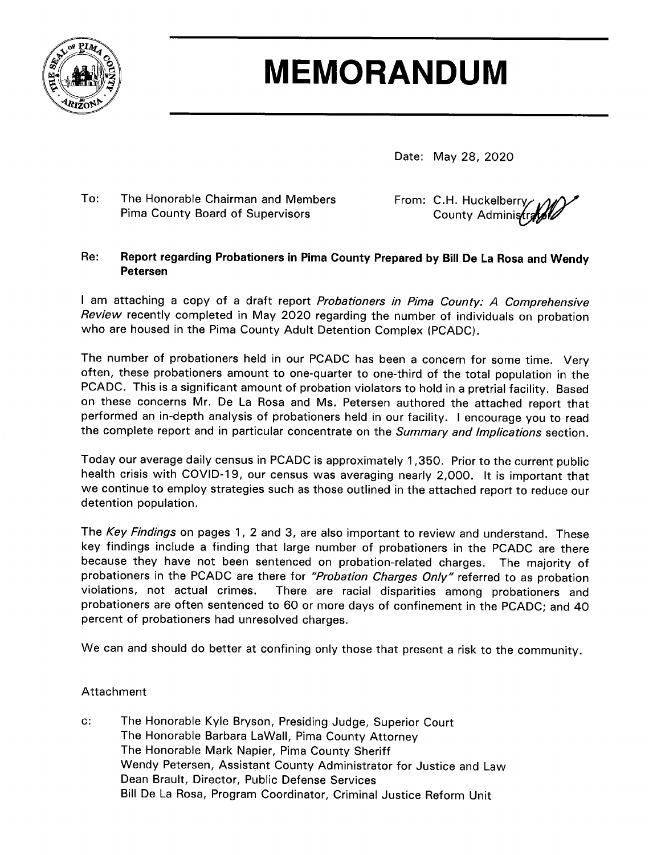

# **MEMORANDUM**

Date: May 28, 2020

#### $To:$ The Honorable Chairman and Members Pima County Board of Supervisors

From: C.H. Huckelberry County Administr

#### Re: Report regarding Probationers in Pima County Prepared by Bill De La Rosa and Wendy **Petersen**

I am attaching a copy of a draft report Probationers in Pima County: A Comprehensive Review recently completed in May 2020 regarding the number of individuals on probation who are housed in the Pima County Adult Detention Complex (PCADC).

The number of probationers held in our PCADC has been a concern for some time. Very often, these probationers amount to one-quarter to one-third of the total population in the PCADC. This is a significant amount of probation violators to hold in a pretrial facility. Based on these concerns Mr. De La Rosa and Ms. Petersen authored the attached report that performed an in-depth analysis of probationers held in our facility. I encourage you to read the complete report and in particular concentrate on the Summary and Implications section.

Today our average daily census in PCADC is approximately 1,350. Prior to the current public health crisis with COVID-19, our census was averaging nearly 2,000. It is important that we continue to employ strategies such as those outlined in the attached report to reduce our detention population.

The Key Findings on pages 1, 2 and 3, are also important to review and understand. These key findings include a finding that large number of probationers in the PCADC are there because they have not been sentenced on probation-related charges. The majority of probationers in the PCADC are there for "Probation Charges Only" referred to as probation violations, not actual crimes. There are racial disparities among probationers and probationers are often sentenced to 60 or more days of confinement in the PCADC; and 40 percent of probationers had unresolved charges.

We can and should do better at confining only those that present a risk to the community.

### Attachment

 $C$ : The Honorable Kyle Bryson, Presiding Judge, Superior Court The Honorable Barbara LaWall, Pima County Attorney The Honorable Mark Napier, Pima County Sheriff Wendy Petersen, Assistant County Administrator for Justice and Law Dean Brault, Director, Public Defense Services Bill De La Rosa, Program Coordinator, Criminal Justice Reform Unit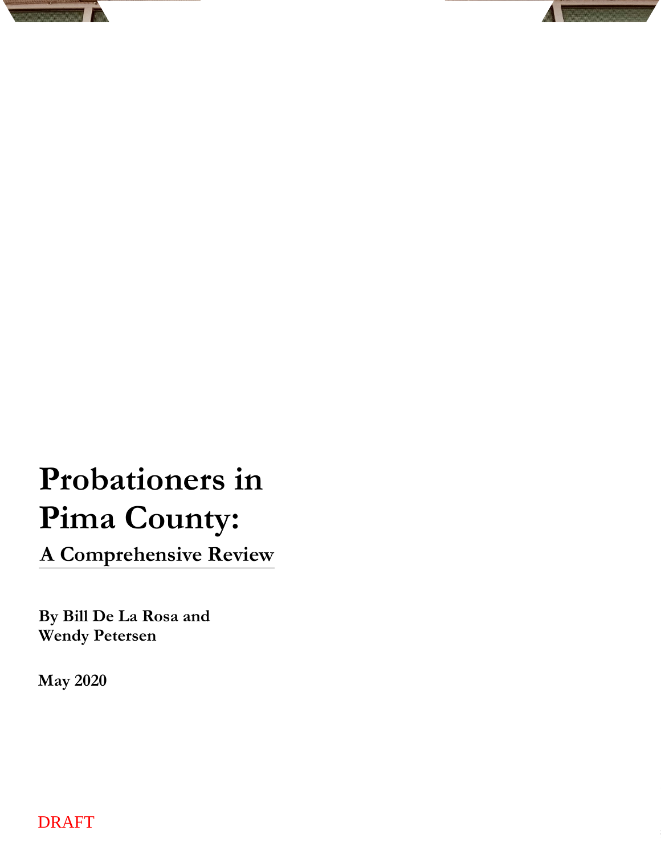# **Probationers in Pima County:**

**A Comprehensive Review**

**By Bill De La Rosa and Wendy Petersen**

**May 2020**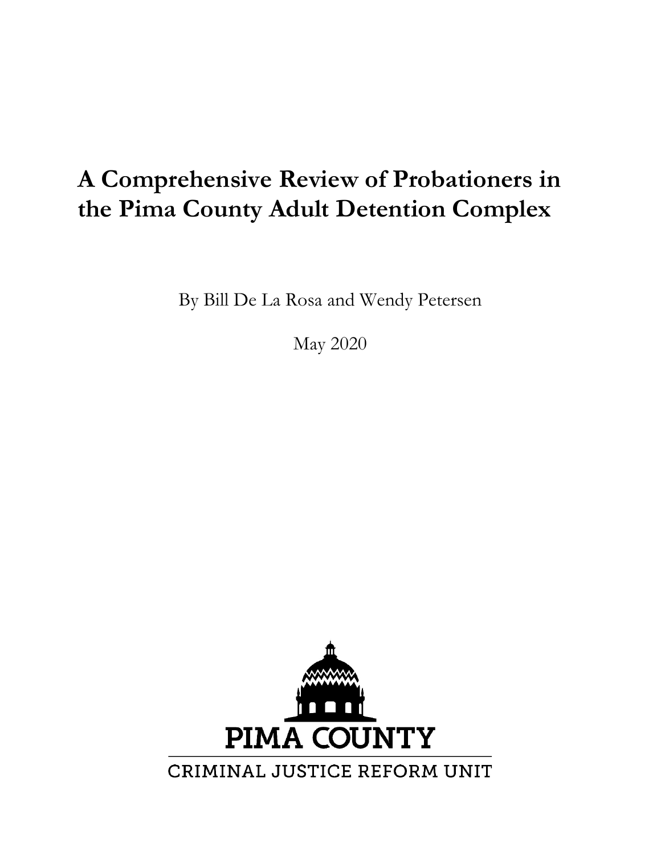# **A Comprehensive Review of Probationers in the Pima County Adult Detention Complex**

By Bill De La Rosa and Wendy Petersen

May 2020

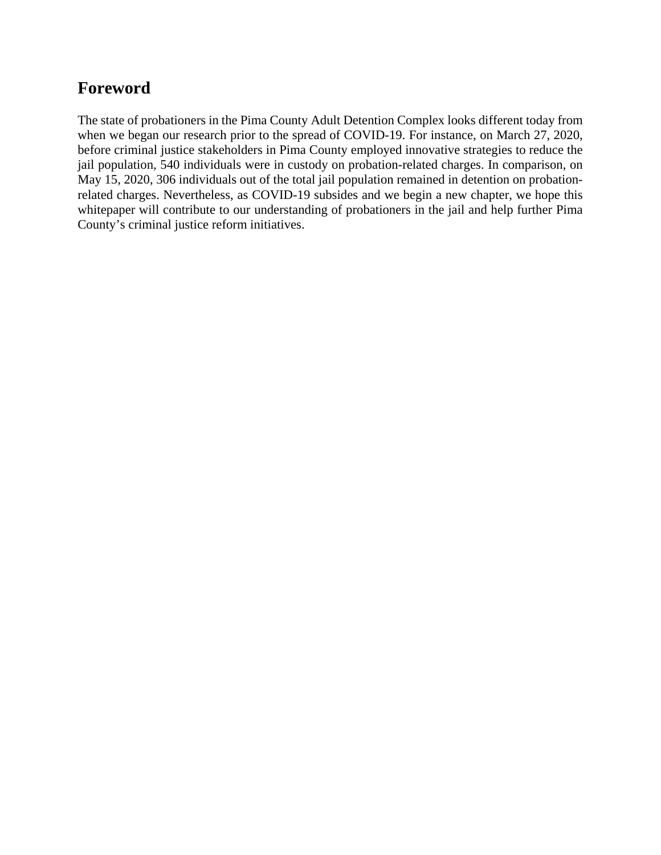# **Foreword**

The state of probationers in the Pima County Adult Detention Complex looks different today from when we began our research prior to the spread of COVID-19. For instance, on March 27, 2020, before criminal justice stakeholders in Pima County employed innovative strategies to reduce the jail population, 540 individuals were in custody on probation-related charges. In comparison, on May 15, 2020, 306 individuals out of the total jail population remained in detention on probationrelated charges. Nevertheless, as COVID-19 subsides and we begin a new chapter, we hope this whitepaper will contribute to our understanding of probationers in the jail and help further Pima County's criminal justice reform initiatives.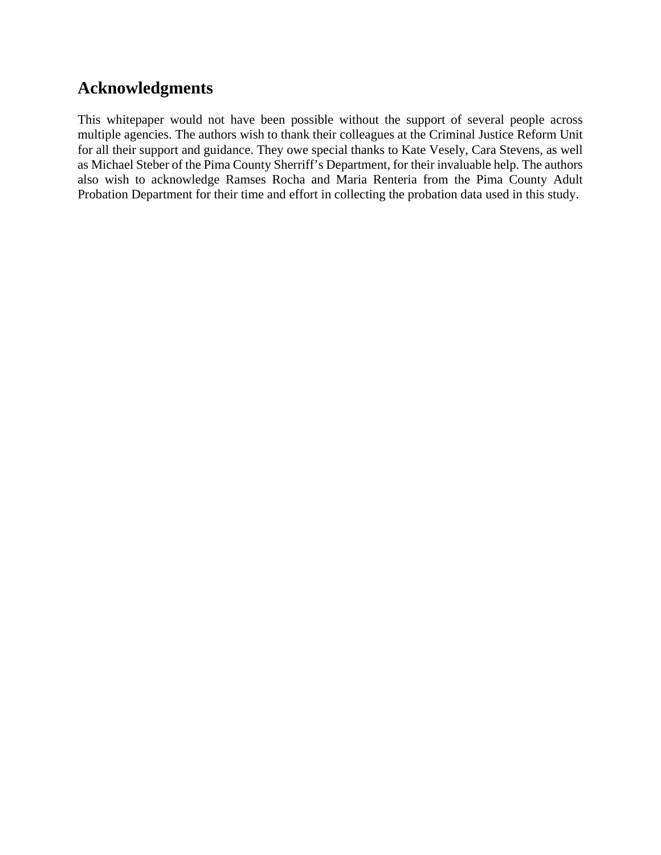# **Acknowledgments**

This whitepaper would not have been possible without the support of several people across multiple agencies. The authors wish to thank their colleagues at the Criminal Justice Reform Unit for all their support and guidance. They owe special thanks to Kate Vesely, Cara Stevens, as well as Michael Steber of the Pima County Sherriff's Department, for their invaluable help. The authors also wish to acknowledge Ramses Rocha and Maria Renteria from the Pima County Adult Probation Department for their time and effort in collecting the probation data used in this study.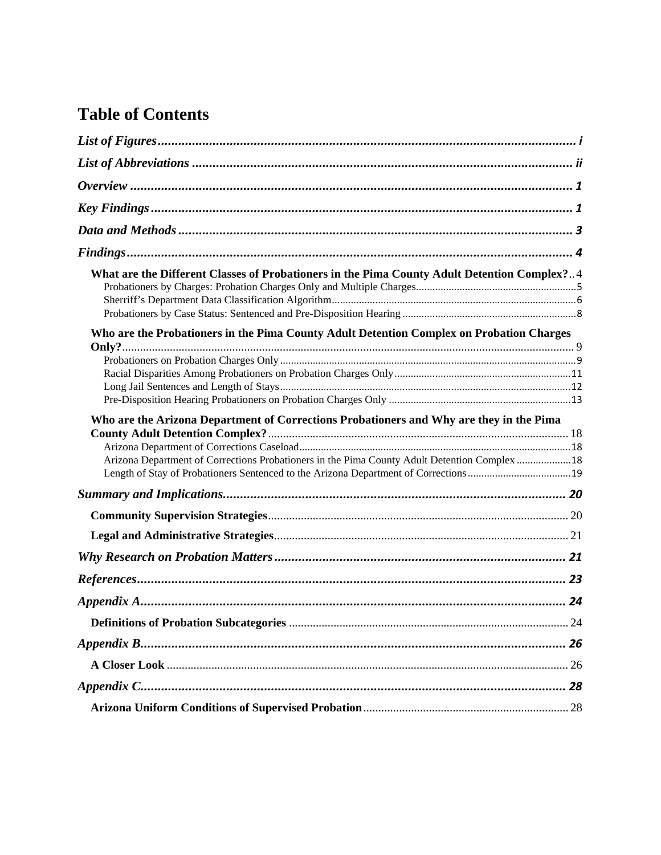# **Table of Contents**

| What are the Different Classes of Probationers in the Pima County Adult Detention Complex?4  |  |
|----------------------------------------------------------------------------------------------|--|
|                                                                                              |  |
|                                                                                              |  |
|                                                                                              |  |
| Who are the Probationers in the Pima County Adult Detention Complex on Probation Charges     |  |
|                                                                                              |  |
|                                                                                              |  |
|                                                                                              |  |
|                                                                                              |  |
|                                                                                              |  |
| Who are the Arizona Department of Corrections Probationers and Why are they in the Pima      |  |
|                                                                                              |  |
|                                                                                              |  |
| Arizona Department of Corrections Probationers in the Pima County Adult Detention Complex 18 |  |
|                                                                                              |  |
|                                                                                              |  |
|                                                                                              |  |
|                                                                                              |  |
|                                                                                              |  |
|                                                                                              |  |
|                                                                                              |  |
|                                                                                              |  |
|                                                                                              |  |
|                                                                                              |  |
|                                                                                              |  |
|                                                                                              |  |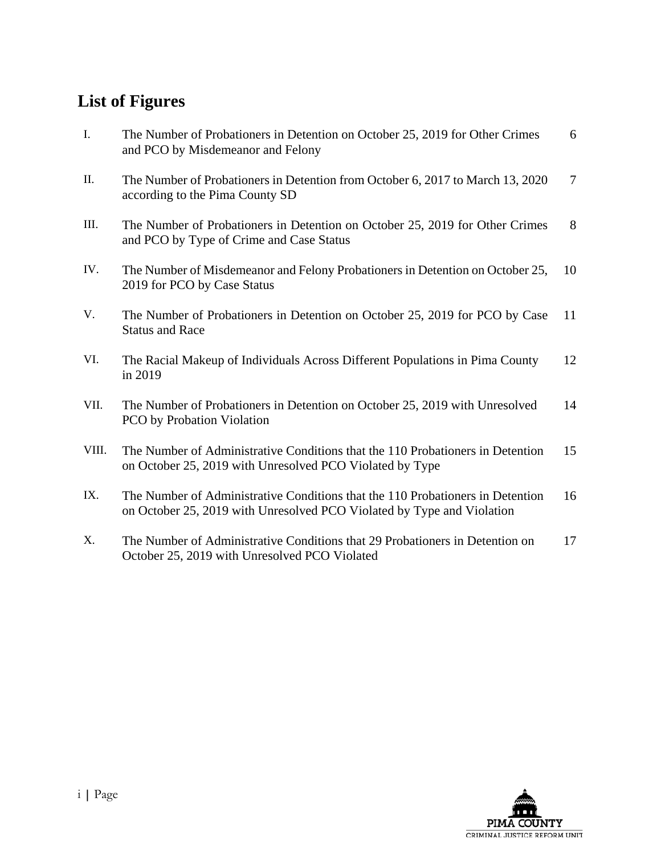# **List of Figures**

PCO by Probation Violation

| I.   | The Number of Probationers in Detention on October 25, 2019 for Other Crimes<br>and PCO by Misdemeanor and Felony        | 6  |
|------|--------------------------------------------------------------------------------------------------------------------------|----|
| П.   | The Number of Probationers in Detention from October 6, 2017 to March 13, 2020<br>according to the Pima County SD        | 7  |
| Ш.   | The Number of Probationers in Detention on October 25, 2019 for Other Crimes<br>and PCO by Type of Crime and Case Status | 8  |
| IV.  | The Number of Misdemeanor and Felony Probationers in Detention on October 25,<br>2019 for PCO by Case Status             | 10 |
| V.   | The Number of Probationers in Detention on October 25, 2019 for PCO by Case<br><b>Status and Race</b>                    | 11 |
| VI.  | The Racial Makeup of Individuals Across Different Populations in Pima County<br>in 2019                                  | 12 |
| VII. | The Number of Probationers in Detention on October 25, 2019 with Unresolved                                              | 14 |

- VIII. The Number of Administrative Conditions that the 110 Probationers in Detention on October 25, 2019 with Unresolved PCO Violated by Type 15
- IX. The Number of Administrative Conditions that the 110 Probationers in Detention on October 25, 2019 with Unresolved PCO Violated by Type and Violation 16
- X. The Number of Administrative Conditions that 29 Probationers in Detention on October 25, 2019 with Unresolved PCO Violated 17

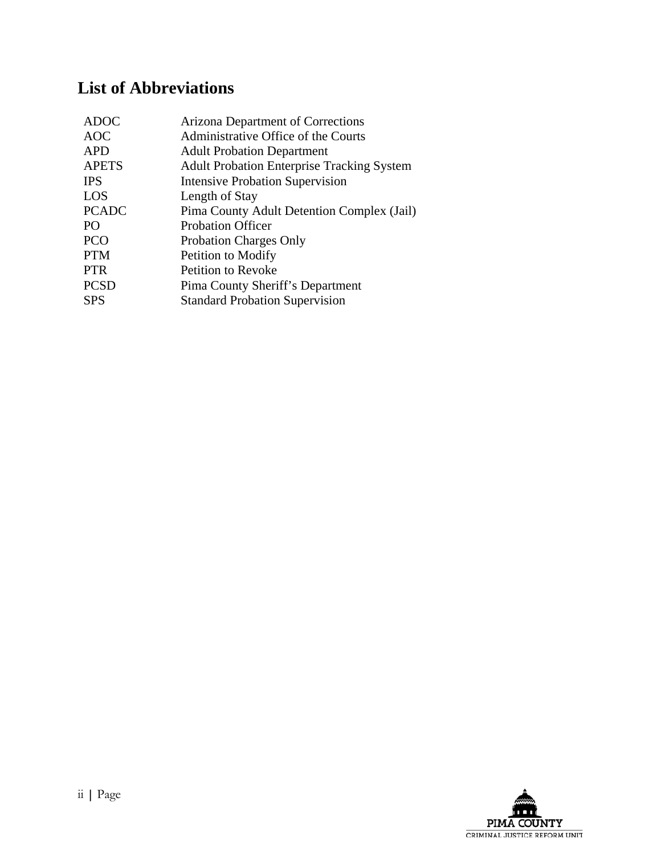# **List of Abbreviations**

| <b>Arizona Department of Corrections</b>          |
|---------------------------------------------------|
| Administrative Office of the Courts               |
| <b>Adult Probation Department</b>                 |
| <b>Adult Probation Enterprise Tracking System</b> |
| <b>Intensive Probation Supervision</b>            |
| Length of Stay                                    |
| Pima County Adult Detention Complex (Jail)        |
| <b>Probation Officer</b>                          |
| <b>Probation Charges Only</b>                     |
| Petition to Modify                                |
| <b>Petition to Revoke</b>                         |
| Pima County Sheriff's Department                  |
| <b>Standard Probation Supervision</b>             |
|                                                   |

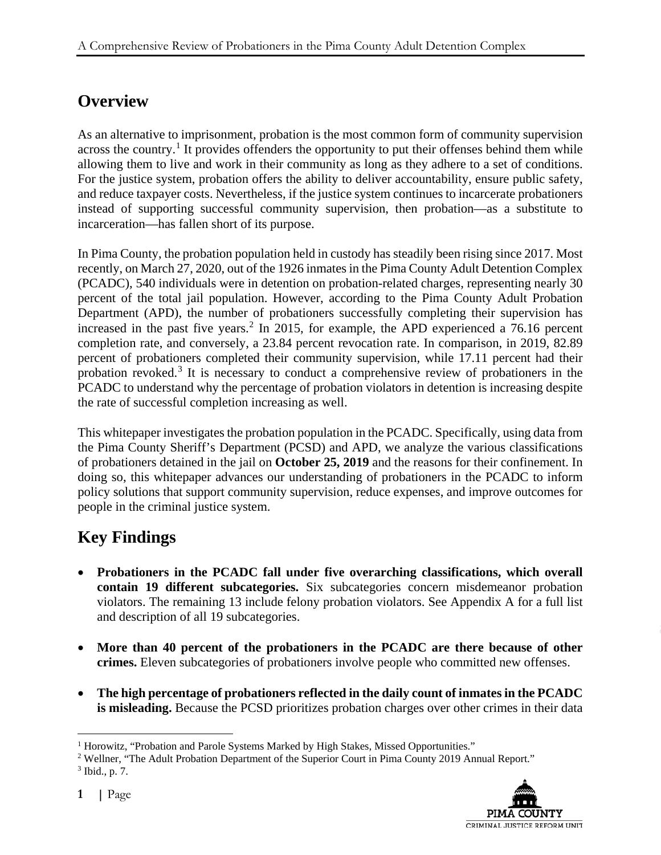# **Overview**

As an alternative to imprisonment, probation is the most common form of community supervision across the country.<sup>[1](#page-8-0)</sup> It provides offenders the opportunity to put their offenses behind them while allowing them to live and work in their community as long as they adhere to a set of conditions. For the justice system, probation offers the ability to deliver accountability, ensure public safety, and reduce taxpayer costs. Nevertheless, if the justice system continues to incarcerate probationers instead of supporting successful community supervision, then probation—as a substitute to incarceration—has fallen short of its purpose.

In Pima County, the probation population held in custody has steadily been rising since 2017. Most recently, on March 27, 2020, out of the 1926 inmates in the Pima County Adult Detention Complex (PCADC), 540 individuals were in detention on probation-related charges, representing nearly 30 percent of the total jail population. However, according to the Pima County Adult Probation Department (APD), the number of probationers successfully completing their supervision has increased in the past five years.<sup>[2](#page-8-1)</sup> In 2015, for example, the APD experienced a  $76.16$  percent completion rate, and conversely, a 23.84 percent revocation rate. In comparison, in 2019, 82.89 percent of probationers completed their community supervision, while 17.11 percent had their probation revoked.<sup>[3](#page-8-2)</sup> It is necessary to conduct a comprehensive review of probationers in the PCADC to understand why the percentage of probation violators in detention is increasing despite the rate of successful completion increasing as well.

This whitepaper investigates the probation population in the PCADC. Specifically, using data from the Pima County Sheriff's Department (PCSD) and APD, we analyze the various classifications of probationers detained in the jail on **October 25, 2019** and the reasons for their confinement. In doing so, this whitepaper advances our understanding of probationers in the PCADC to inform policy solutions that support community supervision, reduce expenses, and improve outcomes for people in the criminal justice system.

# **Key Findings**

- **Probationers in the PCADC fall under five overarching classifications, which overall contain 19 different subcategories.** Six subcategories concern misdemeanor probation violators. The remaining 13 include felony probation violators. See Appendix A for a full list and description of all 19 subcategories.
- **More than 40 percent of the probationers in the PCADC are there because of other crimes.** Eleven subcategories of probationers involve people who committed new offenses.
- **The high percentage of probationers reflected in the daily count of inmates in the PCADC is misleading.** Because the PCSD prioritizes probation charges over other crimes in their data

<span id="page-8-2"></span><span id="page-8-1"></span><sup>&</sup>lt;sup>2</sup> Wellner, "The Adult Probation Department of the Superior Court in Pima County 2019 Annual Report." <sup>3</sup> Ibid., p. 7.



<span id="page-8-0"></span> $1$  Horowitz, "Probation and Parole Systems Marked by High Stakes, Missed Opportunities."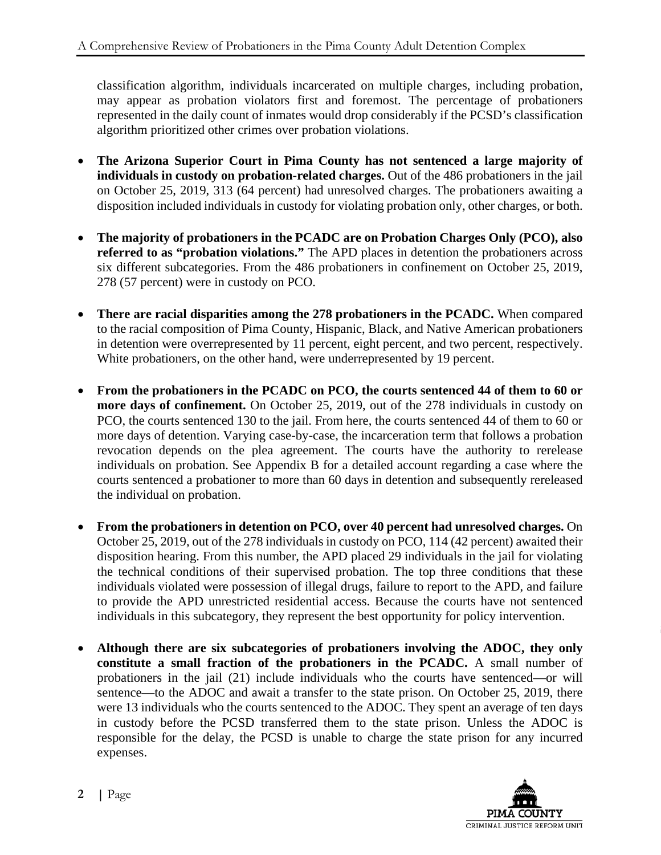classification algorithm, individuals incarcerated on multiple charges, including probation, may appear as probation violators first and foremost. The percentage of probationers represented in the daily count of inmates would drop considerably if the PCSD's classification algorithm prioritized other crimes over probation violations.

- **The Arizona Superior Court in Pima County has not sentenced a large majority of individuals in custody on probation-related charges.** Out of the 486 probationers in the jail on October 25, 2019, 313 (64 percent) had unresolved charges. The probationers awaiting a disposition included individuals in custody for violating probation only, other charges, or both.
- **The majority of probationers in the PCADC are on Probation Charges Only (PCO), also referred to as "probation violations."** The APD places in detention the probationers across six different subcategories. From the 486 probationers in confinement on October 25, 2019, 278 (57 percent) were in custody on PCO.
- **There are racial disparities among the 278 probationers in the PCADC.** When compared to the racial composition of Pima County, Hispanic, Black, and Native American probationers in detention were overrepresented by 11 percent, eight percent, and two percent, respectively. White probationers, on the other hand, were underrepresented by 19 percent.
- **From the probationers in the PCADC on PCO, the courts sentenced 44 of them to 60 or more days of confinement.** On October 25, 2019, out of the 278 individuals in custody on PCO, the courts sentenced 130 to the jail. From here, the courts sentenced 44 of them to 60 or more days of detention. Varying case-by-case, the incarceration term that follows a probation revocation depends on the plea agreement. The courts have the authority to rerelease individuals on probation. See Appendix B for a detailed account regarding a case where the courts sentenced a probationer to more than 60 days in detention and subsequently rereleased the individual on probation.
- **From the probationers in detention on PCO, over 40 percent had unresolved charges.** On October 25, 2019, out of the 278 individuals in custody on PCO, 114 (42 percent) awaited their disposition hearing. From this number, the APD placed 29 individuals in the jail for violating the technical conditions of their supervised probation. The top three conditions that these individuals violated were possession of illegal drugs, failure to report to the APD, and failure to provide the APD unrestricted residential access. Because the courts have not sentenced individuals in this subcategory, they represent the best opportunity for policy intervention.
- **Although there are six subcategories of probationers involving the ADOC, they only constitute a small fraction of the probationers in the PCADC.** A small number of probationers in the jail (21) include individuals who the courts have sentenced—or will sentence—to the ADOC and await a transfer to the state prison. On October 25, 2019, there were 13 individuals who the courts sentenced to the ADOC. They spent an average of ten days in custody before the PCSD transferred them to the state prison. Unless the ADOC is responsible for the delay, the PCSD is unable to charge the state prison for any incurred expenses.

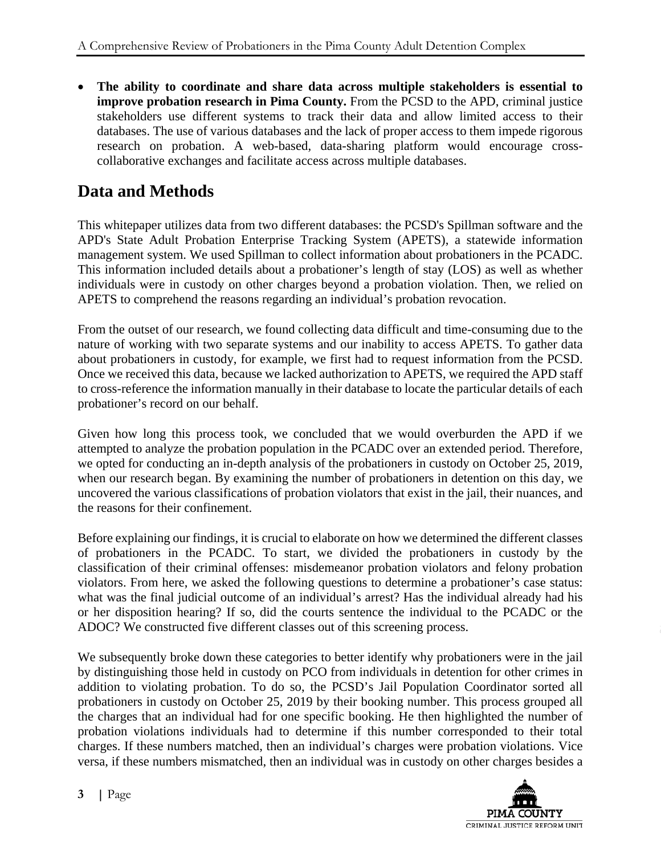• **The ability to coordinate and share data across multiple stakeholders is essential to improve probation research in Pima County.** From the PCSD to the APD, criminal justice stakeholders use different systems to track their data and allow limited access to their databases. The use of various databases and the lack of proper access to them impede rigorous research on probation. A web-based, data-sharing platform would encourage crosscollaborative exchanges and facilitate access across multiple databases.

# **Data and Methods**

This whitepaper utilizes data from two different databases: the PCSD's Spillman software and the APD's State Adult Probation Enterprise Tracking System (APETS), a statewide information management system. We used Spillman to collect information about probationers in the PCADC. This information included details about a probationer's length of stay (LOS) as well as whether individuals were in custody on other charges beyond a probation violation. Then, we relied on APETS to comprehend the reasons regarding an individual's probation revocation.

From the outset of our research, we found collecting data difficult and time-consuming due to the nature of working with two separate systems and our inability to access APETS. To gather data about probationers in custody, for example, we first had to request information from the PCSD. Once we received this data, because we lacked authorization to APETS, we required the APD staff to cross-reference the information manually in their database to locate the particular details of each probationer's record on our behalf.

Given how long this process took, we concluded that we would overburden the APD if we attempted to analyze the probation population in the PCADC over an extended period. Therefore, we opted for conducting an in-depth analysis of the probationers in custody on October 25, 2019, when our research began. By examining the number of probationers in detention on this day, we uncovered the various classifications of probation violators that exist in the jail, their nuances, and the reasons for their confinement.

Before explaining our findings, it is crucial to elaborate on how we determined the different classes of probationers in the PCADC. To start, we divided the probationers in custody by the classification of their criminal offenses: misdemeanor probation violators and felony probation violators. From here, we asked the following questions to determine a probationer's case status: what was the final judicial outcome of an individual's arrest? Has the individual already had his or her disposition hearing? If so, did the courts sentence the individual to the PCADC or the ADOC? We constructed five different classes out of this screening process.

We subsequently broke down these categories to better identify why probationers were in the jail by distinguishing those held in custody on PCO from individuals in detention for other crimes in addition to violating probation. To do so, the PCSD's Jail Population Coordinator sorted all probationers in custody on October 25, 2019 by their booking number. This process grouped all the charges that an individual had for one specific booking. He then highlighted the number of probation violations individuals had to determine if this number corresponded to their total charges. If these numbers matched, then an individual's charges were probation violations. Vice versa, if these numbers mismatched, then an individual was in custody on other charges besides a

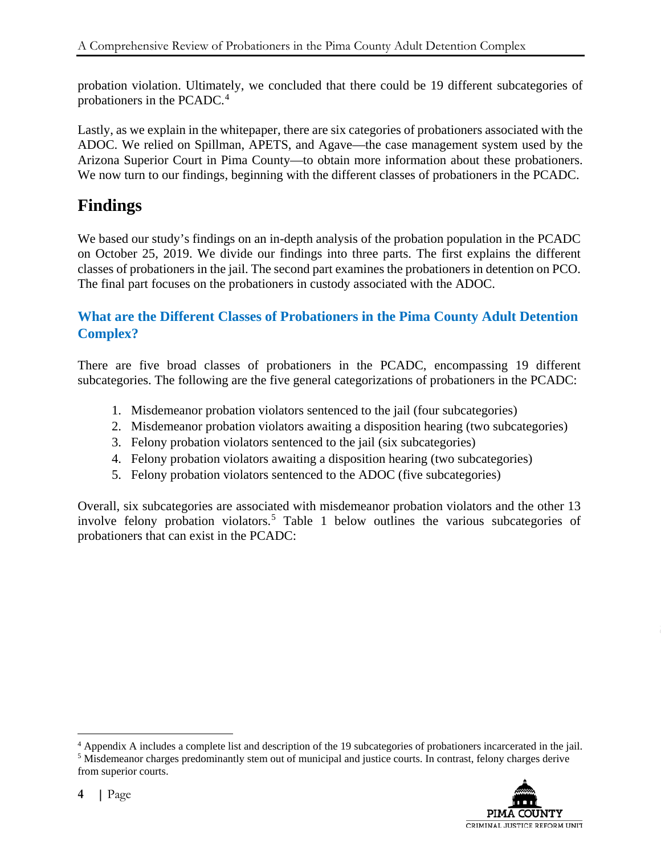probation violation. Ultimately, we concluded that there could be 19 different subcategories of probationers in the PCADC. [4](#page-11-0)

Lastly, as we explain in the whitepaper, there are six categories of probationers associated with the ADOC. We relied on Spillman, APETS, and Agave—the case management system used by the Arizona Superior Court in Pima County—to obtain more information about these probationers. We now turn to our findings, beginning with the different classes of probationers in the PCADC.

# **Findings**

We based our study's findings on an in-depth analysis of the probation population in the PCADC on October 25, 2019. We divide our findings into three parts. The first explains the different classes of probationers in the jail. The second part examines the probationers in detention on PCO. The final part focuses on the probationers in custody associated with the ADOC.

# **What are the Different Classes of Probationers in the Pima County Adult Detention Complex?**

There are five broad classes of probationers in the PCADC, encompassing 19 different subcategories. The following are the five general categorizations of probationers in the PCADC:

- 1. Misdemeanor probation violators sentenced to the jail (four subcategories)
- 2. Misdemeanor probation violators awaiting a disposition hearing (two subcategories)
- 3. Felony probation violators sentenced to the jail (six subcategories)
- 4. Felony probation violators awaiting a disposition hearing (two subcategories)
- 5. Felony probation violators sentenced to the ADOC (five subcategories)

Overall, six subcategories are associated with misdemeanor probation violators and the other 13 involve felony probation violators.<sup>[5](#page-11-1)</sup> Table 1 below outlines the various subcategories of probationers that can exist in the PCADC:

<span id="page-11-1"></span><sup>5</sup> Misdemeanor charges predominantly stem out of municipal and justice courts. In contrast, felony charges derive from superior courts.



<span id="page-11-0"></span> <sup>4</sup> Appendix A includes a complete list and description of the 19 subcategories of probationers incarcerated in the jail.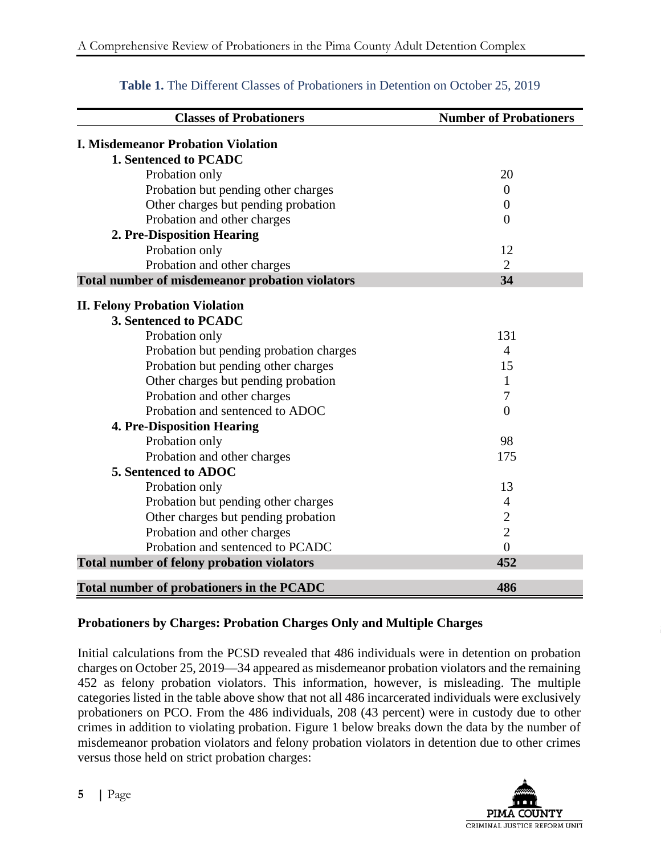| <b>Classes of Probationers</b>                    | <b>Number of Probationers</b> |
|---------------------------------------------------|-------------------------------|
| <b>I. Misdemeanor Probation Violation</b>         |                               |
| 1. Sentenced to PCADC                             |                               |
| Probation only                                    | 20                            |
| Probation but pending other charges               | $\theta$                      |
| Other charges but pending probation               | $\theta$                      |
| Probation and other charges                       | $\theta$                      |
| 2. Pre-Disposition Hearing                        |                               |
| Probation only                                    | 12                            |
| Probation and other charges                       | $\overline{2}$                |
| Total number of misdemeanor probation violators   | 34                            |
| <b>II. Felony Probation Violation</b>             |                               |
| 3. Sentenced to PCADC                             |                               |
| Probation only                                    | 131                           |
| Probation but pending probation charges           | $\overline{4}$                |
| Probation but pending other charges               | 15                            |
| Other charges but pending probation               | 1                             |
| Probation and other charges                       | 7                             |
| Probation and sentenced to ADOC                   | $\theta$                      |
| <b>4. Pre-Disposition Hearing</b>                 |                               |
| Probation only                                    | 98                            |
| Probation and other charges                       | 175                           |
| 5. Sentenced to ADOC                              |                               |
| Probation only                                    | 13                            |
| Probation but pending other charges               | $\overline{4}$                |
| Other charges but pending probation               | $\mathbf{2}$                  |
| Probation and other charges                       | $\overline{2}$                |
| Probation and sentenced to PCADC                  | $\overline{0}$                |
| <b>Total number of felony probation violators</b> | 452                           |
| <b>Total number of probationers in the PCADC</b>  | 486                           |

## **Table 1.** The Different Classes of Probationers in Detention on October 25, 2019

### **Probationers by Charges: Probation Charges Only and Multiple Charges**

Initial calculations from the PCSD revealed that 486 individuals were in detention on probation charges on October 25, 2019—34 appeared as misdemeanor probation violators and the remaining 452 as felony probation violators. This information, however, is misleading. The multiple categories listed in the table above show that not all 486 incarcerated individuals were exclusively probationers on PCO. From the 486 individuals, 208 (43 percent) were in custody due to other crimes in addition to violating probation. Figure 1 below breaks down the data by the number of misdemeanor probation violators and felony probation violators in detention due to other crimes versus those held on strict probation charges:

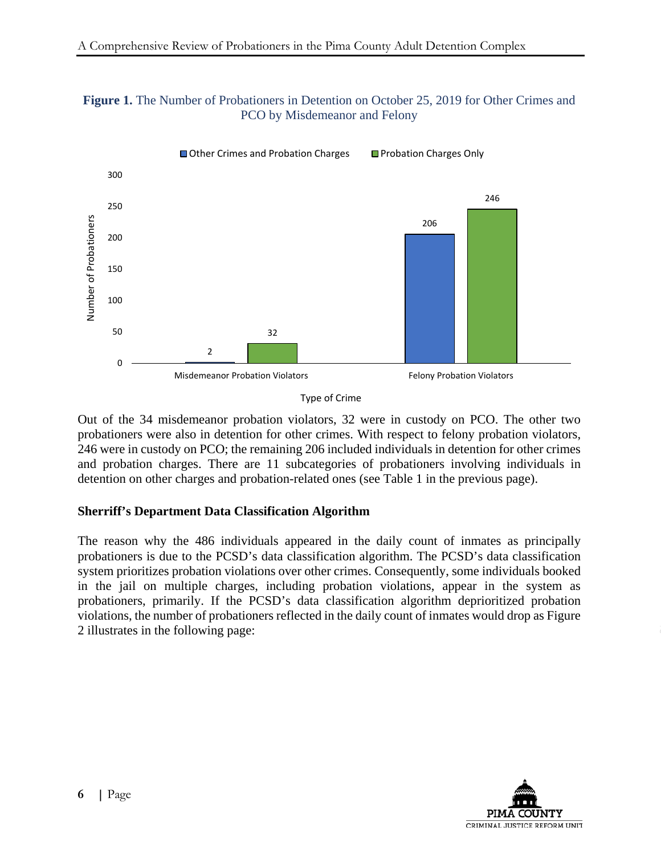



Out of the 34 misdemeanor probation violators, 32 were in custody on PCO. The other two probationers were also in detention for other crimes. With respect to felony probation violators, 246 were in custody on PCO; the remaining 206 included individuals in detention for other crimes and probation charges. There are 11 subcategories of probationers involving individuals in detention on other charges and probation-related ones (see Table 1 in the previous page).

### **Sherriff's Department Data Classification Algorithm**

The reason why the 486 individuals appeared in the daily count of inmates as principally probationers is due to the PCSD's data classification algorithm. The PCSD's data classification system prioritizes probation violations over other crimes. Consequently, some individuals booked in the jail on multiple charges, including probation violations, appear in the system as probationers, primarily. If the PCSD's data classification algorithm deprioritized probation violations, the number of probationers reflected in the daily count of inmates would drop as Figure 2 illustrates in the following page:



Type of Crime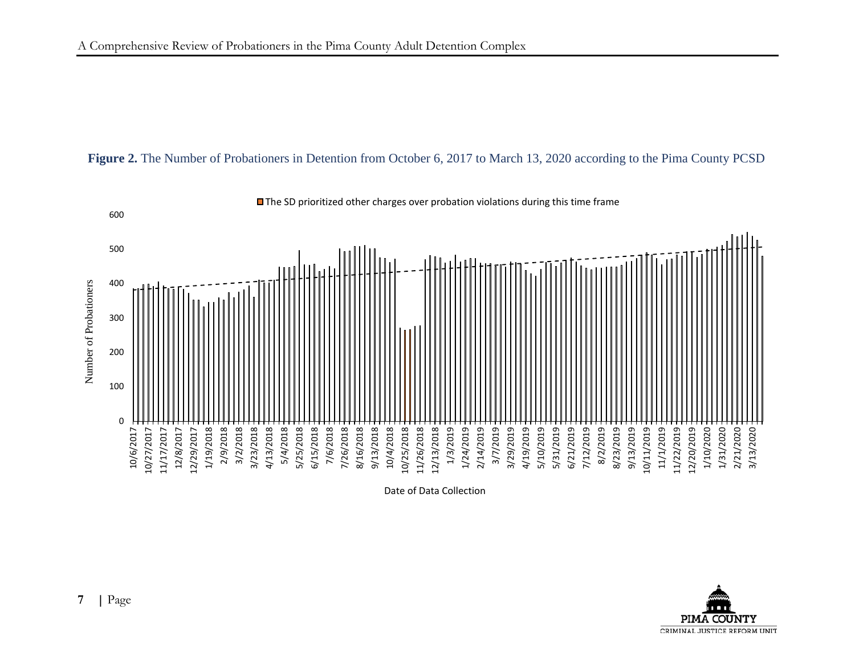



Date of Data Collection

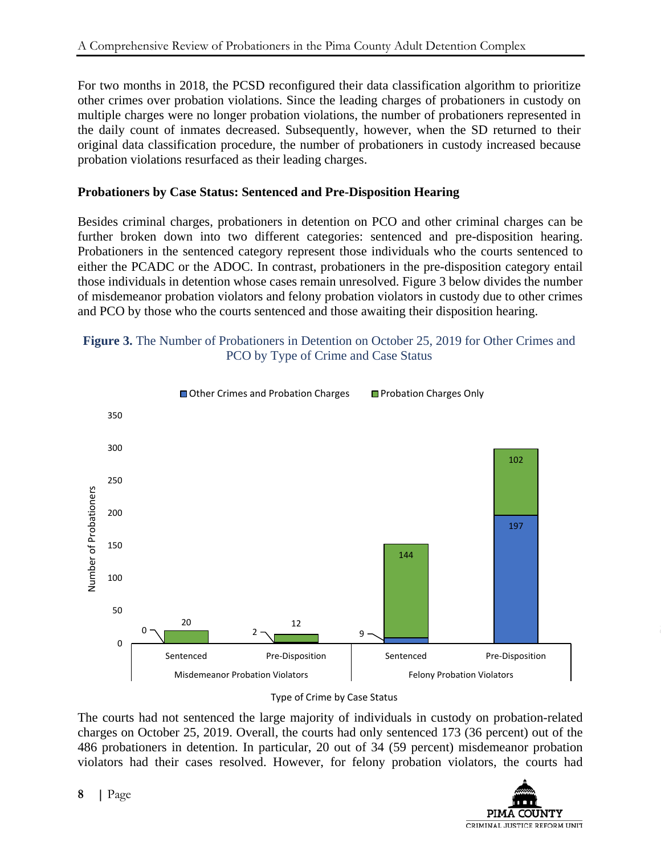For two months in 2018, the PCSD reconfigured their data classification algorithm to prioritize other crimes over probation violations. Since the leading charges of probationers in custody on multiple charges were no longer probation violations, the number of probationers represented in the daily count of inmates decreased. Subsequently, however, when the SD returned to their original data classification procedure, the number of probationers in custody increased because probation violations resurfaced as their leading charges.

### **Probationers by Case Status: Sentenced and Pre-Disposition Hearing**

Besides criminal charges, probationers in detention on PCO and other criminal charges can be further broken down into two different categories: sentenced and pre-disposition hearing. Probationers in the sentenced category represent those individuals who the courts sentenced to either the PCADC or the ADOC. In contrast, probationers in the pre-disposition category entail those individuals in detention whose cases remain unresolved. Figure 3 below divides the number of misdemeanor probation violators and felony probation violators in custody due to other crimes and PCO by those who the courts sentenced and those awaiting their disposition hearing.

### **Figure 3.** The Number of Probationers in Detention on October 25, 2019 for Other Crimes and PCO by Type of Crime and Case Status





The courts had not sentenced the large majority of individuals in custody on probation-related charges on October 25, 2019. Overall, the courts had only sentenced 173 (36 percent) out of the 486 probationers in detention. In particular, 20 out of 34 (59 percent) misdemeanor probation violators had their cases resolved. However, for felony probation violators, the courts had

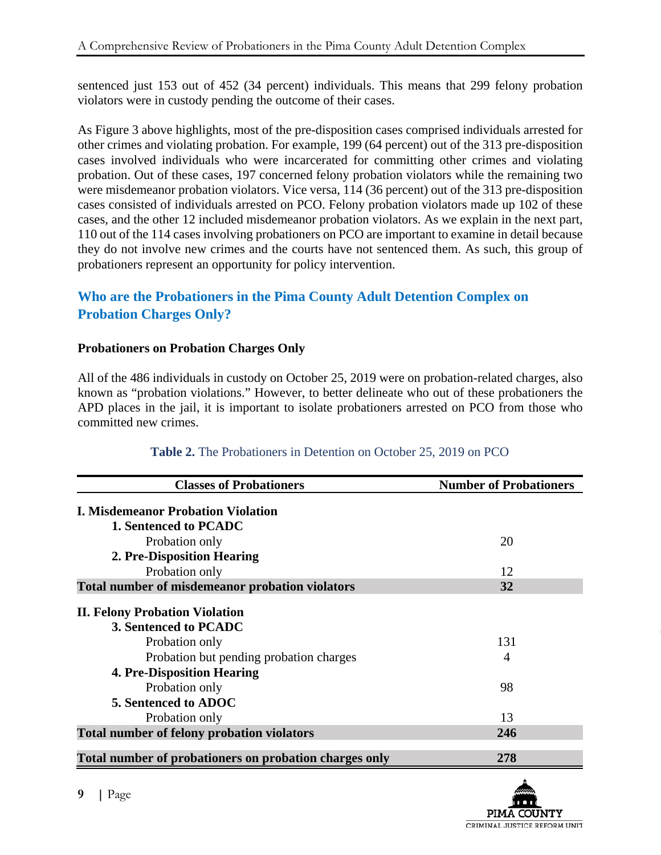sentenced just 153 out of 452 (34 percent) individuals. This means that 299 felony probation violators were in custody pending the outcome of their cases.

As Figure 3 above highlights, most of the pre-disposition cases comprised individuals arrested for other crimes and violating probation. For example, 199 (64 percent) out of the 313 pre-disposition cases involved individuals who were incarcerated for committing other crimes and violating probation. Out of these cases, 197 concerned felony probation violators while the remaining two were misdemeanor probation violators. Vice versa, 114 (36 percent) out of the 313 pre-disposition cases consisted of individuals arrested on PCO. Felony probation violators made up 102 of these cases, and the other 12 included misdemeanor probation violators. As we explain in the next part, 110 out of the 114 cases involving probationers on PCO are important to examine in detail because they do not involve new crimes and the courts have not sentenced them. As such, this group of probationers represent an opportunity for policy intervention.

# **Who are the Probationers in the Pima County Adult Detention Complex on Probation Charges Only?**

### **Probationers on Probation Charges Only**

All of the 486 individuals in custody on October 25, 2019 were on probation-related charges, also known as "probation violations." However, to better delineate who out of these probationers the APD places in the jail, it is important to isolate probationers arrested on PCO from those who committed new crimes.

| <b>Classes of Probationers</b>                         | <b>Number of Probationers</b> |
|--------------------------------------------------------|-------------------------------|
| <b>I. Misdemeanor Probation Violation</b>              |                               |
| 1. Sentenced to PCADC                                  |                               |
| Probation only                                         | 20                            |
| 2. Pre-Disposition Hearing                             |                               |
| Probation only                                         | 12                            |
| Total number of misdemeanor probation violators        | 32                            |
| <b>II. Felony Probation Violation</b>                  |                               |
| 3. Sentenced to PCADC                                  |                               |
| Probation only                                         | 131                           |
| Probation but pending probation charges                | $\overline{A}$                |
| <b>4. Pre-Disposition Hearing</b>                      |                               |
| Probation only                                         | 98                            |
| 5. Sentenced to ADOC                                   |                               |
| Probation only                                         | 13                            |
| <b>Total number of felony probation violators</b>      | 246                           |
| Total number of probationers on probation charges only | 278                           |

### **Table 2.** The Probationers in Detention on October 25, 2019 on PCO

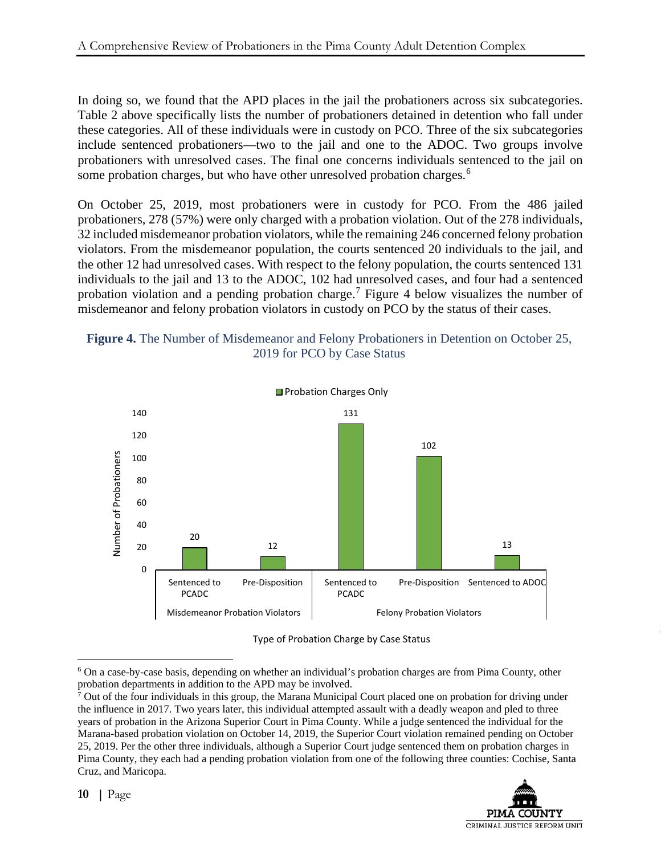In doing so, we found that the APD places in the jail the probationers across six subcategories. Table 2 above specifically lists the number of probationers detained in detention who fall under these categories. All of these individuals were in custody on PCO. Three of the six subcategories include sentenced probationers—two to the jail and one to the ADOC. Two groups involve probationers with unresolved cases. The final one concerns individuals sentenced to the jail on some probation charges, but who have other unresolved probation charges.<sup>[6](#page-17-0)</sup>

On October 25, 2019, most probationers were in custody for PCO. From the 486 jailed probationers, 278 (57%) were only charged with a probation violation. Out of the 278 individuals, 32 included misdemeanor probation violators, while the remaining 246 concerned felony probation violators. From the misdemeanor population, the courts sentenced 20 individuals to the jail, and the other 12 had unresolved cases. With respect to the felony population, the courts sentenced 131 individuals to the jail and 13 to the ADOC, 102 had unresolved cases, and four had a sentenced probation violation and a pending probation charge.<sup>[7](#page-17-1)</sup> Figure 4 below visualizes the number of misdemeanor and felony probation violators in custody on PCO by the status of their cases.





Type of Probation Charge by Case Status

<span id="page-17-1"></span> $7$  Out of the four individuals in this group, the Marana Municipal Court placed one on probation for driving under the influence in 2017. Two years later, this individual attempted assault with a deadly weapon and pled to three years of probation in the Arizona Superior Court in Pima County. While a judge sentenced the individual for the Marana-based probation violation on October 14, 2019, the Superior Court violation remained pending on October 25, 2019. Per the other three individuals, although a Superior Court judge sentenced them on probation charges in Pima County, they each had a pending probation violation from one of the following three counties: Cochise, Santa Cruz, and Maricopa.



<span id="page-17-0"></span> <sup>6</sup> On a case-by-case basis, depending on whether an individual's probation charges are from Pima County, other probation departments in addition to the APD may be involved.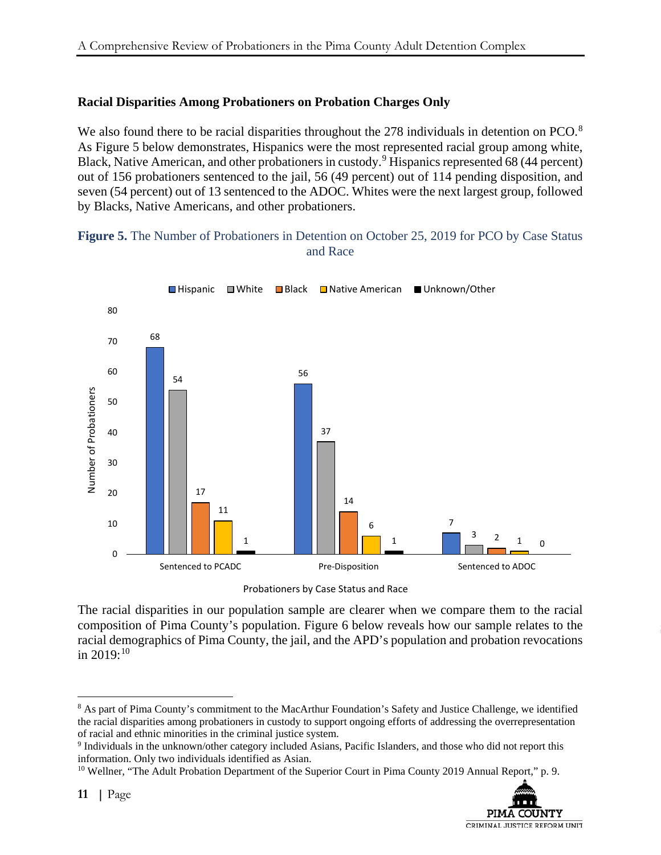### **Racial Disparities Among Probationers on Probation Charges Only**

We also found there to be racial disparities throughout the 27[8](#page-18-0) individuals in detention on PCO. $8$ As Figure 5 below demonstrates, Hispanics were the most represented racial group among white, Black, Native American, and other probationers in custody.<sup>[9](#page-18-1)</sup> Hispanics represented 68 (44 percent) out of 156 probationers sentenced to the jail, 56 (49 percent) out of 114 pending disposition, and seven (54 percent) out of 13 sentenced to the ADOC. Whites were the next largest group, followed by Blacks, Native Americans, and other probationers.

#### **Figure 5.** The Number of Probationers in Detention on October 25, 2019 for PCO by Case Status and Race



Probationers by Case Status and Race

The racial disparities in our population sample are clearer when we compare them to the racial composition of Pima County's population. Figure 6 below reveals how our sample relates to the racial demographics of Pima County, the jail, and the APD's population and probation revocations in  $2019:^{10}$  $2019:^{10}$  $2019:^{10}$ 

<span id="page-18-2"></span><sup>10</sup> Wellner, "The Adult Probation Department of the Superior Court in Pima County 2019 Annual Report," p. 9.



<span id="page-18-0"></span><sup>&</sup>lt;sup>8</sup> As part of Pima County's commitment to the MacArthur Foundation's Safety and Justice Challenge, we identified the racial disparities among probationers in custody to support ongoing efforts of addressing the overrepresentation of racial and ethnic minorities in the criminal justice system.

<span id="page-18-1"></span><sup>9</sup> Individuals in the unknown/other category included Asians, Pacific Islanders, and those who did not report this information. Only two individuals identified as Asian.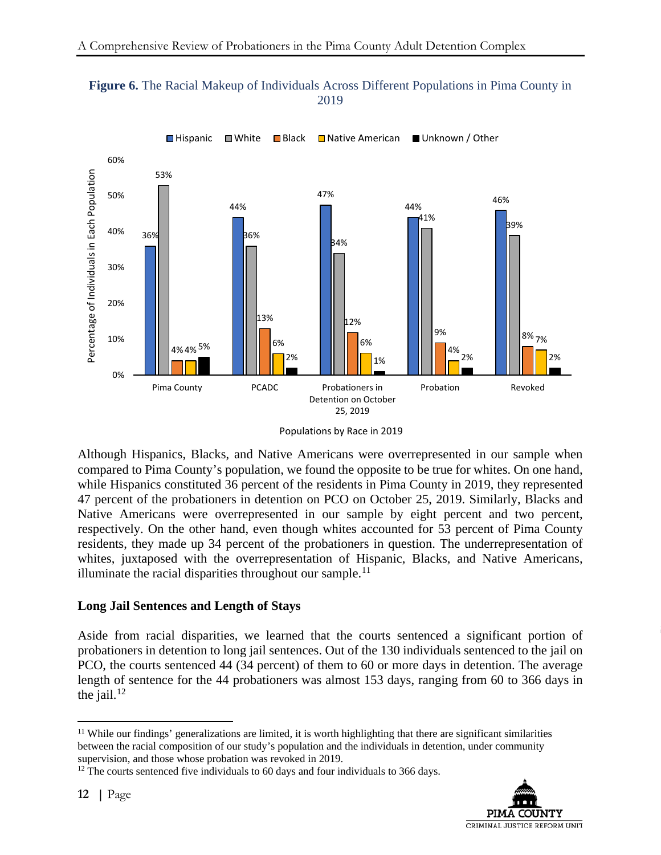



Although Hispanics, Blacks, and Native Americans were overrepresented in our sample when compared to Pima County's population, we found the opposite to be true for whites. On one hand, while Hispanics constituted 36 percent of the residents in Pima County in 2019, they represented 47 percent of the probationers in detention on PCO on October 25, 2019. Similarly, Blacks and Native Americans were overrepresented in our sample by eight percent and two percent, respectively. On the other hand, even though whites accounted for 53 percent of Pima County residents, they made up 34 percent of the probationers in question. The underrepresentation of whites, juxtaposed with the overrepresentation of Hispanic, Blacks, and Native Americans, illuminate the racial disparities throughout our sample.<sup>[11](#page-19-0)</sup>

### **Long Jail Sentences and Length of Stays**

Aside from racial disparities, we learned that the courts sentenced a significant portion of probationers in detention to long jail sentences. Out of the 130 individuals sentenced to the jail on PCO, the courts sentenced 44 (34 percent) of them to 60 or more days in detention. The average length of sentence for the 44 probationers was almost 153 days, ranging from 60 to 366 days in the jail. $12$ 

<span id="page-19-1"></span> $12$ <sup>12</sup> The courts sentenced five individuals to 60 days and four individuals to 366 days.



Populations by Race in 2019

<span id="page-19-0"></span><sup>&</sup>lt;sup>11</sup> While our findings' generalizations are limited, it is worth highlighting that there are significant similarities between the racial composition of our study's population and the individuals in detention, under community supervision, and those whose probation was revoked in 2019.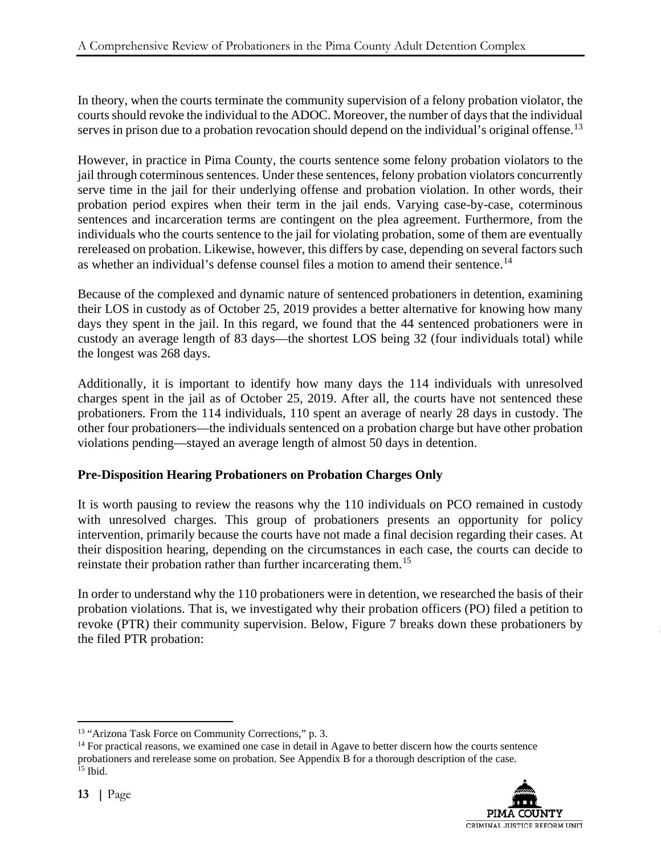In theory, when the courts terminate the community supervision of a felony probation violator, the courts should revoke the individual to the ADOC. Moreover, the number of days that the individual serves in prison due to a probation revocation should depend on the individual's original offense.<sup>[13](#page-20-0)</sup>

However, in practice in Pima County, the courts sentence some felony probation violators to the jail through coterminous sentences. Under these sentences, felony probation violators concurrently serve time in the jail for their underlying offense and probation violation. In other words, their probation period expires when their term in the jail ends. Varying case-by-case, coterminous sentences and incarceration terms are contingent on the plea agreement. Furthermore, from the individuals who the courts sentence to the jail for violating probation, some of them are eventually rereleased on probation. Likewise, however, this differs by case, depending on several factors such as whether an individual's defense counsel files a motion to amend their sentence.[14](#page-20-1) 

Because of the complexed and dynamic nature of sentenced probationers in detention, examining their LOS in custody as of October 25, 2019 provides a better alternative for knowing how many days they spent in the jail. In this regard, we found that the 44 sentenced probationers were in custody an average length of 83 days—the shortest LOS being 32 (four individuals total) while the longest was 268 days.

Additionally, it is important to identify how many days the 114 individuals with unresolved charges spent in the jail as of October 25, 2019. After all, the courts have not sentenced these probationers. From the 114 individuals, 110 spent an average of nearly 28 days in custody. The other four probationers—the individuals sentenced on a probation charge but have other probation violations pending—stayed an average length of almost 50 days in detention.

### **Pre-Disposition Hearing Probationers on Probation Charges Only**

It is worth pausing to review the reasons why the 110 individuals on PCO remained in custody with unresolved charges. This group of probationers presents an opportunity for policy intervention, primarily because the courts have not made a final decision regarding their cases. At their disposition hearing, depending on the circumstances in each case, the courts can decide to reinstate their probation rather than further incarcerating them.<sup>[15](#page-20-2)</sup>

In order to understand why the 110 probationers were in detention, we researched the basis of their probation violations. That is, we investigated why their probation officers (PO) filed a petition to revoke (PTR) their community supervision. Below, Figure 7 breaks down these probationers by the filed PTR probation:

<span id="page-20-2"></span><span id="page-20-1"></span><span id="page-20-0"></span><sup>&</sup>lt;sup>13</sup> "Arizona Task Force on Community Corrections," p. 3.<br><sup>14</sup> For practical reasons, we examined one case in detail in Agave to better discern how the courts sentence  $<sup>14</sup>$  For practical reasons, we examined one case in detail in Agave to better discern how the courts sentence</sup> probationers and rerelease some on probation. See Appendix B for a thorough description of the case. <sup>15</sup> Ibid.

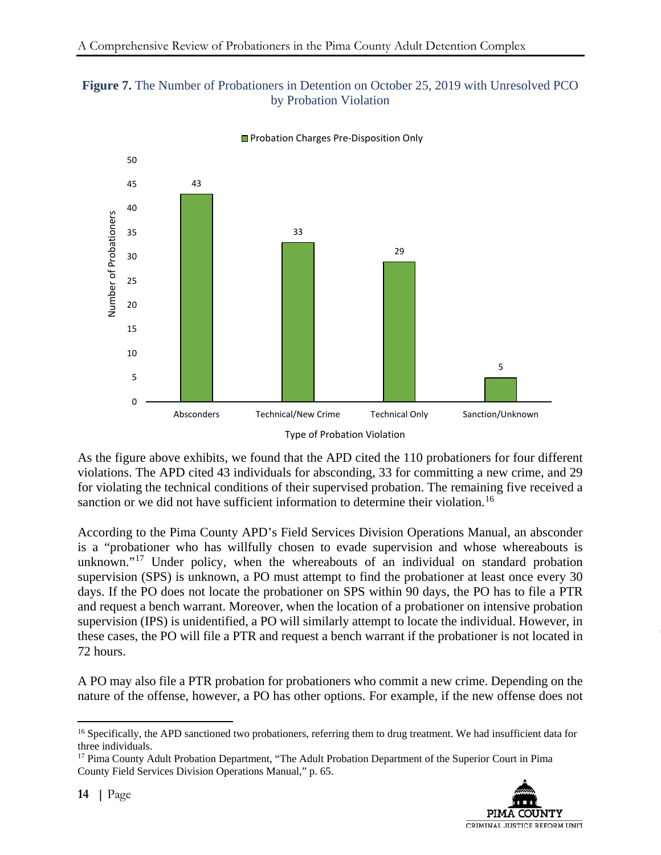### **Figure 7.** The Number of Probationers in Detention on October 25, 2019 with Unresolved PCO by Probation Violation



**Probation Charges Pre-Disposition Only** 

As the figure above exhibits, we found that the APD cited the 110 probationers for four different violations. The APD cited 43 individuals for absconding, 33 for committing a new crime, and 29 for violating the technical conditions of their supervised probation. The remaining five received a sanction or we did not have sufficient information to determine their violation.<sup>[16](#page-21-0)</sup>

According to the Pima County APD's Field Services Division Operations Manual, an absconder is a "probationer who has willfully chosen to evade supervision and whose whereabouts is unknown."<sup>[17](#page-21-1)</sup> Under policy, when the whereabouts of an individual on standard probation supervision (SPS) is unknown, a PO must attempt to find the probationer at least once every 30 days. If the PO does not locate the probationer on SPS within 90 days, the PO has to file a PTR and request a bench warrant. Moreover, when the location of a probationer on intensive probation supervision (IPS) is unidentified, a PO will similarly attempt to locate the individual. However, in these cases, the PO will file a PTR and request a bench warrant if the probationer is not located in 72 hours.

A PO may also file a PTR probation for probationers who commit a new crime. Depending on the nature of the offense, however, a PO has other options. For example, if the new offense does not

<span id="page-21-1"></span><sup>&</sup>lt;sup>17</sup> Pima County Adult Probation Department, "The Adult Probation Department of the Superior Court in Pima County Field Services Division Operations Manual," p. 65.



<span id="page-21-0"></span><sup>&</sup>lt;sup>16</sup> Specifically, the APD sanctioned two probationers, referring them to drug treatment. We had insufficient data for three individuals.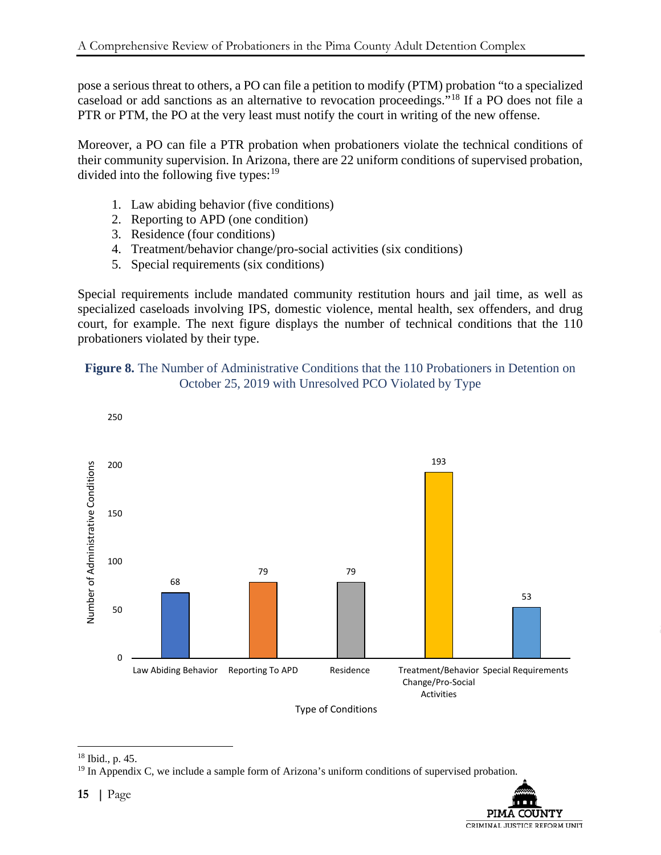pose a serious threat to others, a PO can file a petition to modify (PTM) probation "to a specialized caseload or add sanctions as an alternative to revocation proceedings."[18](#page-22-0) If a PO does not file a PTR or PTM, the PO at the very least must notify the court in writing of the new offense.

Moreover, a PO can file a PTR probation when probationers violate the technical conditions of their community supervision. In Arizona, there are 22 uniform conditions of supervised probation, divided into the following five types:  $19$ 

- 1. Law abiding behavior (five conditions)
- 2. Reporting to APD (one condition)
- 3. Residence (four conditions)
- 4. Treatment/behavior change/pro-social activities (six conditions)
- 5. Special requirements (six conditions)

Special requirements include mandated community restitution hours and jail time, as well as specialized caseloads involving IPS, domestic violence, mental health, sex offenders, and drug court, for example. The next figure displays the number of technical conditions that the 110 probationers violated by their type.





<span id="page-22-0"></span> <sup>18</sup> Ibid., p. 45.

<span id="page-22-1"></span><sup>&</sup>lt;sup>19</sup> In Appendix C, we include a sample form of Arizona's uniform conditions of supervised probation.

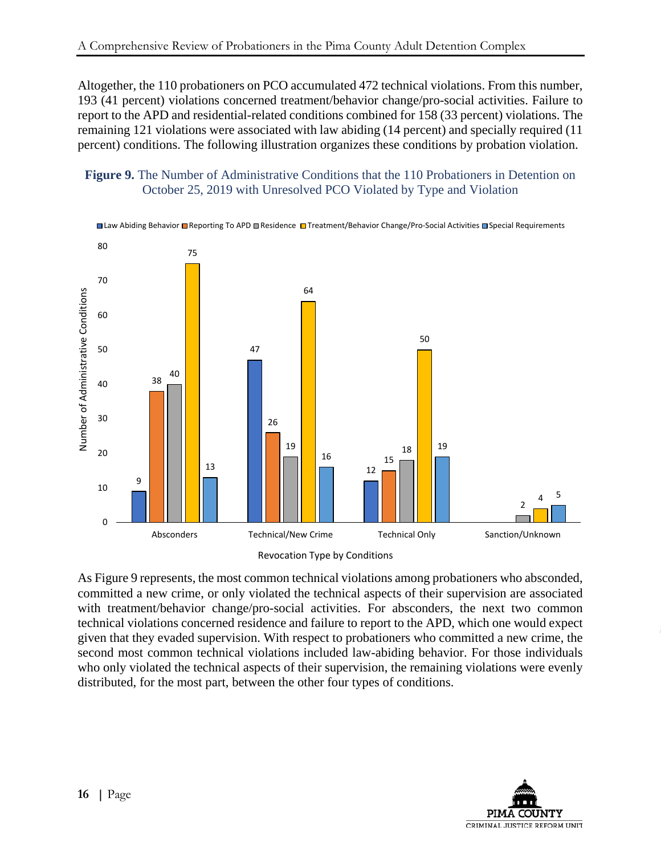Altogether, the 110 probationers on PCO accumulated 472 technical violations. From this number, 193 (41 percent) violations concerned treatment/behavior change/pro-social activities. Failure to report to the APD and residential-related conditions combined for 158 (33 percent) violations. The remaining 121 violations were associated with law abiding (14 percent) and specially required (11 percent) conditions. The following illustration organizes these conditions by probation violation.

#### **Figure 9.** The Number of Administrative Conditions that the 110 Probationers in Detention on October 25, 2019 with Unresolved PCO Violated by Type and Violation



Revocation Type by Conditions

As Figure 9 represents, the most common technical violations among probationers who absconded, committed a new crime, or only violated the technical aspects of their supervision are associated with treatment/behavior change/pro-social activities. For absconders, the next two common technical violations concerned residence and failure to report to the APD, which one would expect given that they evaded supervision. With respect to probationers who committed a new crime, the second most common technical violations included law-abiding behavior. For those individuals who only violated the technical aspects of their supervision, the remaining violations were evenly distributed, for the most part, between the other four types of conditions.

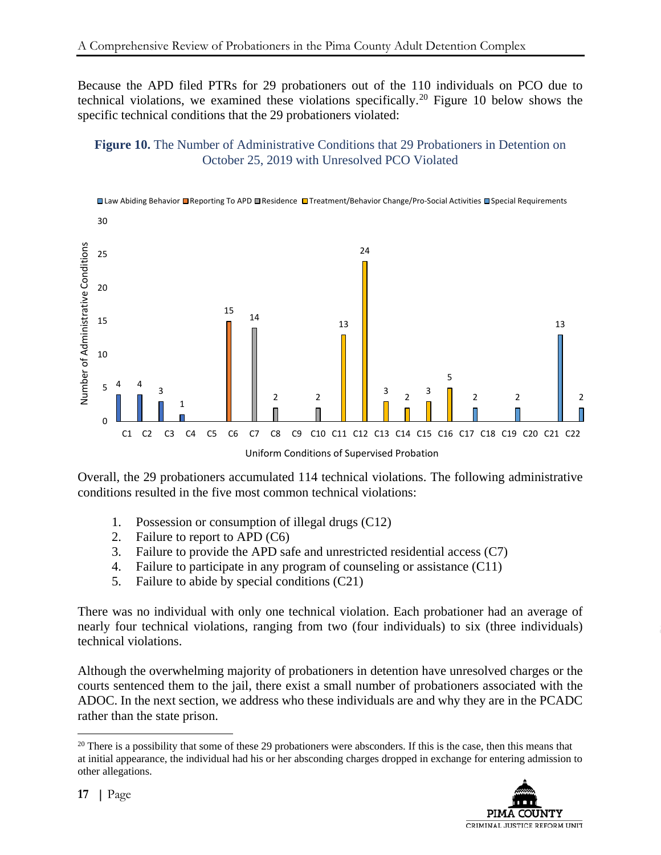Because the APD filed PTRs for 29 probationers out of the 110 individuals on PCO due to technical violations, we examined these violations specifically.[20](#page-24-0) Figure 10 below shows the specific technical conditions that the 29 probationers violated:

### **Figure 10.** The Number of Administrative Conditions that 29 Probationers in Detention on October 25, 2019 with Unresolved PCO Violated



Overall, the 29 probationers accumulated 114 technical violations. The following administrative conditions resulted in the five most common technical violations:

- 1. Possession or consumption of illegal drugs (C12)
- 2. Failure to report to APD (C6)
- 3. Failure to provide the APD safe and unrestricted residential access (C7)
- 4. Failure to participate in any program of counseling or assistance (C11)
- 5. Failure to abide by special conditions (C21)

There was no individual with only one technical violation. Each probationer had an average of nearly four technical violations, ranging from two (four individuals) to six (three individuals) technical violations.

Although the overwhelming majority of probationers in detention have unresolved charges or the courts sentenced them to the jail, there exist a small number of probationers associated with the ADOC. In the next section, we address who these individuals are and why they are in the PCADC rather than the state prison.

<span id="page-24-0"></span> $20$  There is a possibility that some of these 29 probationers were absconders. If this is the case, then this means that at initial appearance, the individual had his or her absconding charges dropped in exchange for entering admission to other allegations.

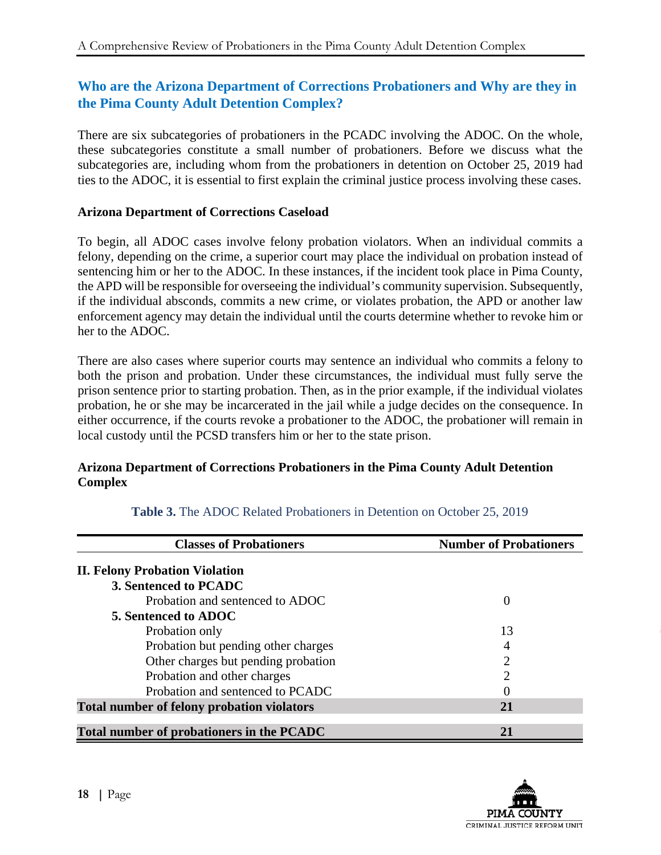# **Who are the Arizona Department of Corrections Probationers and Why are they in the Pima County Adult Detention Complex?**

There are six subcategories of probationers in the PCADC involving the ADOC. On the whole, these subcategories constitute a small number of probationers. Before we discuss what the subcategories are, including whom from the probationers in detention on October 25, 2019 had ties to the ADOC, it is essential to first explain the criminal justice process involving these cases.

### **Arizona Department of Corrections Caseload**

To begin, all ADOC cases involve felony probation violators. When an individual commits a felony, depending on the crime, a superior court may place the individual on probation instead of sentencing him or her to the ADOC. In these instances, if the incident took place in Pima County, the APD will be responsible for overseeing the individual's community supervision. Subsequently, if the individual absconds, commits a new crime, or violates probation, the APD or another law enforcement agency may detain the individual until the courts determine whether to revoke him or her to the ADOC.

There are also cases where superior courts may sentence an individual who commits a felony to both the prison and probation. Under these circumstances, the individual must fully serve the prison sentence prior to starting probation. Then, as in the prior example, if the individual violates probation, he or she may be incarcerated in the jail while a judge decides on the consequence. In either occurrence, if the courts revoke a probationer to the ADOC, the probationer will remain in local custody until the PCSD transfers him or her to the state prison.

### **Arizona Department of Corrections Probationers in the Pima County Adult Detention Complex**

| <b>Classes of Probationers</b>                    | <b>Number of Probationers</b> |
|---------------------------------------------------|-------------------------------|
| <b>II. Felony Probation Violation</b>             |                               |
| 3. Sentenced to PCADC                             |                               |
| Probation and sentenced to ADOC                   | $\Omega$                      |
| 5. Sentenced to ADOC                              |                               |
| Probation only                                    | 13                            |
| Probation but pending other charges               |                               |
| Other charges but pending probation               | 2                             |
| Probation and other charges                       | っ                             |
| Probation and sentenced to PCADC                  |                               |
| <b>Total number of felony probation violators</b> | 21                            |
|                                                   |                               |
| Total number of probationers in the PCADC         |                               |

**Table 3.** The ADOC Related Probationers in Detention on October 25, 2019

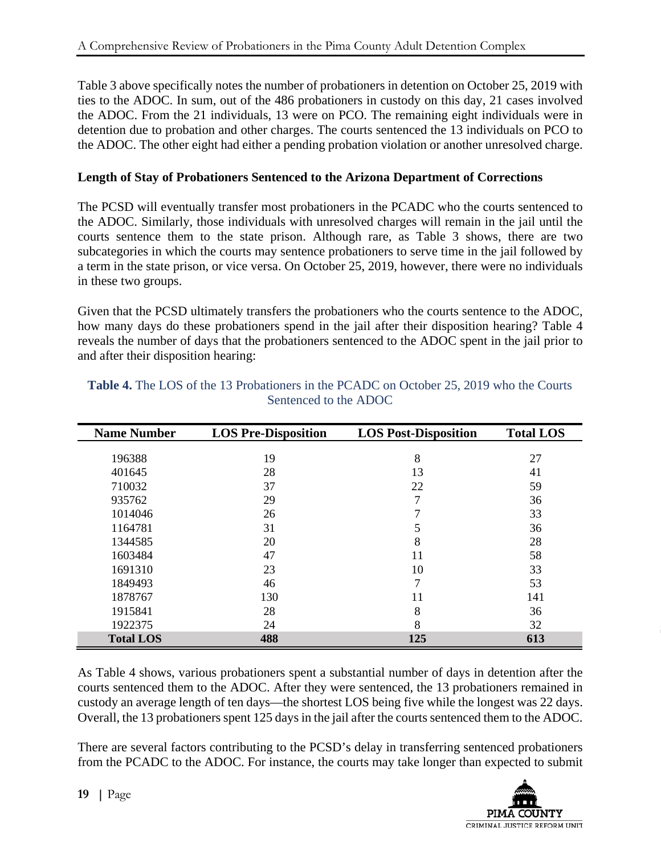Table 3 above specifically notes the number of probationers in detention on October 25, 2019 with ties to the ADOC. In sum, out of the 486 probationers in custody on this day, 21 cases involved the ADOC. From the 21 individuals, 13 were on PCO. The remaining eight individuals were in detention due to probation and other charges. The courts sentenced the 13 individuals on PCO to the ADOC. The other eight had either a pending probation violation or another unresolved charge.

### **Length of Stay of Probationers Sentenced to the Arizona Department of Corrections**

The PCSD will eventually transfer most probationers in the PCADC who the courts sentenced to the ADOC. Similarly, those individuals with unresolved charges will remain in the jail until the courts sentence them to the state prison. Although rare, as Table 3 shows, there are two subcategories in which the courts may sentence probationers to serve time in the jail followed by a term in the state prison, or vice versa. On October 25, 2019, however, there were no individuals in these two groups.

Given that the PCSD ultimately transfers the probationers who the courts sentence to the ADOC, how many days do these probationers spend in the jail after their disposition hearing? Table 4 reveals the number of days that the probationers sentenced to the ADOC spent in the jail prior to and after their disposition hearing:

| <b>Name Number</b> | <b>LOS Pre-Disposition</b> | <b>LOS Post-Disposition</b> | <b>Total LOS</b> |
|--------------------|----------------------------|-----------------------------|------------------|
|                    |                            |                             |                  |
| 196388             | 19                         | 8                           | 27               |
| 401645             | 28                         | 13                          | 41               |
| 710032             | 37                         | 22                          | 59               |
| 935762             | 29                         | 7                           | 36               |
| 1014046            | 26                         |                             | 33               |
| 1164781            | 31                         | 5                           | 36               |
| 1344585            | 20                         | 8                           | 28               |
| 1603484            | 47                         | 11                          | 58               |
| 1691310            | 23                         | 10                          | 33               |
| 1849493            | 46                         | 7                           | 53               |
| 1878767            | 130                        | 11                          | 141              |
| 1915841            | 28                         | 8                           | 36               |
| 1922375            | 24                         | 8                           | 32               |
| <b>Total LOS</b>   | 488                        | 125                         | 613              |

### **Table 4.** The LOS of the 13 Probationers in the PCADC on October 25, 2019 who the Courts Sentenced to the ADOC

As Table 4 shows, various probationers spent a substantial number of days in detention after the courts sentenced them to the ADOC. After they were sentenced, the 13 probationers remained in custody an average length of ten days—the shortest LOS being five while the longest was 22 days. Overall, the 13 probationers spent 125 days in the jail after the courts sentenced them to the ADOC.

There are several factors contributing to the PCSD's delay in transferring sentenced probationers from the PCADC to the ADOC. For instance, the courts may take longer than expected to submit

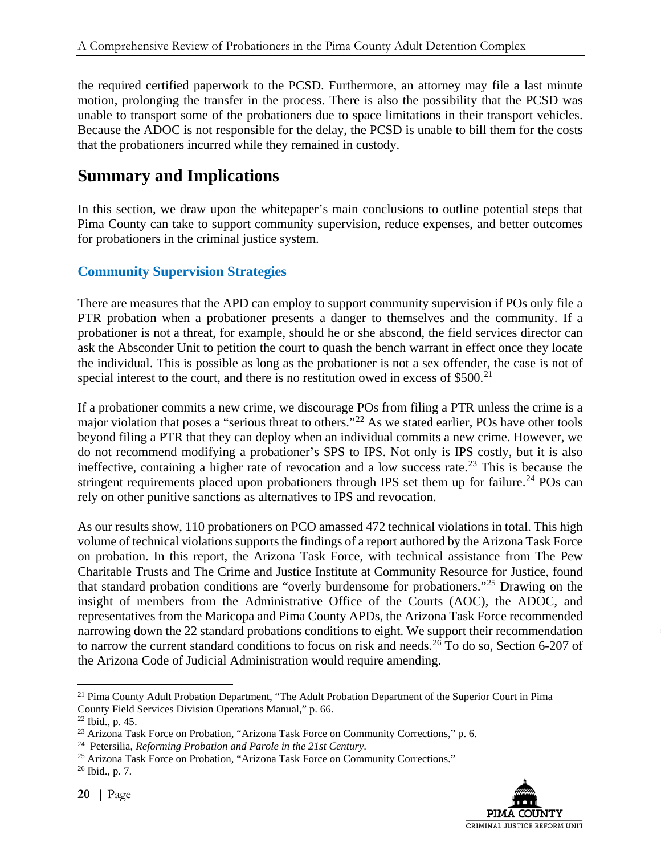the required certified paperwork to the PCSD. Furthermore, an attorney may file a last minute motion, prolonging the transfer in the process. There is also the possibility that the PCSD was unable to transport some of the probationers due to space limitations in their transport vehicles. Because the ADOC is not responsible for the delay, the PCSD is unable to bill them for the costs that the probationers incurred while they remained in custody.

# **Summary and Implications**

In this section, we draw upon the whitepaper's main conclusions to outline potential steps that Pima County can take to support community supervision, reduce expenses, and better outcomes for probationers in the criminal justice system.

## **Community Supervision Strategies**

There are measures that the APD can employ to support community supervision if POs only file a PTR probation when a probationer presents a danger to themselves and the community. If a probationer is not a threat, for example, should he or she abscond, the field services director can ask the Absconder Unit to petition the court to quash the bench warrant in effect once they locate the individual. This is possible as long as the probationer is not a sex offender, the case is not of special interest to the court, and there is no restitution owed in excess of  $$500.<sup>21</sup>$  $$500.<sup>21</sup>$  $$500.<sup>21</sup>$ 

If a probationer commits a new crime, we discourage POs from filing a PTR unless the crime is a major violation that poses a "serious threat to others."[22](#page-27-1) As we stated earlier, POs have other tools beyond filing a PTR that they can deploy when an individual commits a new crime. However, we do not recommend modifying a probationer's SPS to IPS. Not only is IPS costly, but it is also ineffective, containing a higher rate of revocation and a low success rate.<sup>[23](#page-27-2)</sup> This is because the stringent requirements placed upon probationers through IPS set them up for failure.<sup>[24](#page-27-3)</sup> POs can rely on other punitive sanctions as alternatives to IPS and revocation.

As our results show, 110 probationers on PCO amassed 472 technical violations in total. This high volume of technical violations supports the findings of a report authored by the Arizona Task Force on probation. In this report, the Arizona Task Force, with technical assistance from The Pew Charitable Trusts and The Crime and Justice Institute at Community Resource for Justice, found that standard probation conditions are "overly burdensome for probationers."[25](#page-27-4) Drawing on the insight of members from the Administrative Office of the Courts (AOC), the ADOC, and representatives from the Maricopa and Pima County APDs, the Arizona Task Force recommended narrowing down the 22 standard probations conditions to eight. We support their recommendation to narrow the current standard conditions to focus on risk and needs.<sup>[26](#page-27-5)</sup> To do so, Section 6-207 of the Arizona Code of Judicial Administration would require amending.



<span id="page-27-0"></span><sup>&</sup>lt;sup>21</sup> Pima County Adult Probation Department, "The Adult Probation Department of the Superior Court in Pima County Field Services Division Operations Manual," p. 66.

<span id="page-27-1"></span> $22$  Ibid., p. 45.

<span id="page-27-2"></span><sup>&</sup>lt;sup>23</sup> Arizona Task Force on Probation, "Arizona Task Force on Community Corrections," p. 6.

<span id="page-27-3"></span><sup>24</sup> Petersilia, *Reforming Probation and Parole in the 21st Century*.

<span id="page-27-4"></span><sup>&</sup>lt;sup>25</sup> Arizona Task Force on Probation, "Arizona Task Force on Community Corrections."

<span id="page-27-5"></span><sup>26</sup> Ibid., p. 7.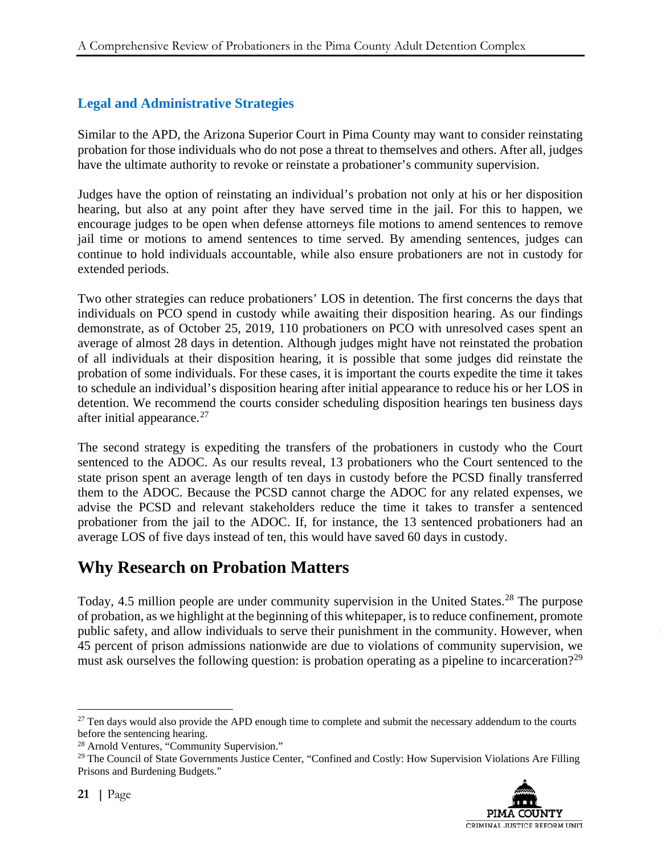# **Legal and Administrative Strategies**

Similar to the APD, the Arizona Superior Court in Pima County may want to consider reinstating probation for those individuals who do not pose a threat to themselves and others. After all, judges have the ultimate authority to revoke or reinstate a probationer's community supervision.

Judges have the option of reinstating an individual's probation not only at his or her disposition hearing, but also at any point after they have served time in the jail. For this to happen, we encourage judges to be open when defense attorneys file motions to amend sentences to remove jail time or motions to amend sentences to time served. By amending sentences, judges can continue to hold individuals accountable, while also ensure probationers are not in custody for extended periods.

Two other strategies can reduce probationers' LOS in detention. The first concerns the days that individuals on PCO spend in custody while awaiting their disposition hearing. As our findings demonstrate, as of October 25, 2019, 110 probationers on PCO with unresolved cases spent an average of almost 28 days in detention. Although judges might have not reinstated the probation of all individuals at their disposition hearing, it is possible that some judges did reinstate the probation of some individuals. For these cases, it is important the courts expedite the time it takes to schedule an individual's disposition hearing after initial appearance to reduce his or her LOS in detention. We recommend the courts consider scheduling disposition hearings ten business days after initial appearance.<sup>[27](#page-28-0)</sup>

The second strategy is expediting the transfers of the probationers in custody who the Court sentenced to the ADOC. As our results reveal, 13 probationers who the Court sentenced to the state prison spent an average length of ten days in custody before the PCSD finally transferred them to the ADOC. Because the PCSD cannot charge the ADOC for any related expenses, we advise the PCSD and relevant stakeholders reduce the time it takes to transfer a sentenced probationer from the jail to the ADOC. If, for instance, the 13 sentenced probationers had an average LOS of five days instead of ten, this would have saved 60 days in custody.

# **Why Research on Probation Matters**

Today, 4.5 million people are under community supervision in the United States.<sup>[28](#page-28-1)</sup> The purpose of probation, as we highlight at the beginning of this whitepaper, is to reduce confinement, promote public safety, and allow individuals to serve their punishment in the community. However, when 45 percent of prison admissions nationwide are due to violations of community supervision, we must ask ourselves the following question: is probation operating as a pipeline to incarceration?<sup>[29](#page-28-2)</sup>

<span id="page-28-2"></span><sup>&</sup>lt;sup>29</sup> The Council of State Governments Justice Center, "Confined and Costly: How Supervision Violations Are Filling Prisons and Burdening Budgets."



<span id="page-28-0"></span><sup>&</sup>lt;sup>27</sup> Ten days would also provide the APD enough time to complete and submit the necessary addendum to the courts before the sentencing hearing.

<span id="page-28-1"></span><sup>28</sup> Arnold Ventures, "Community Supervision."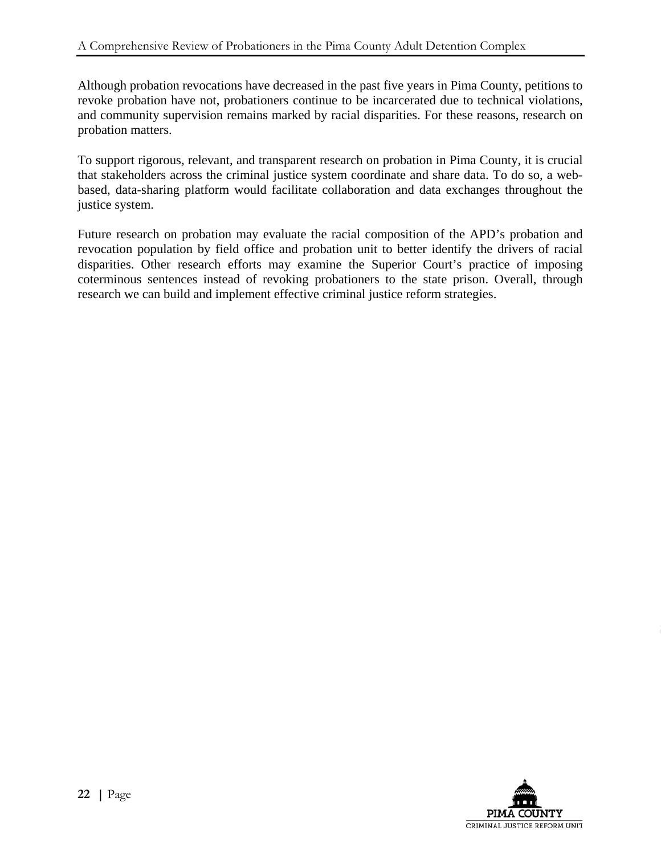Although probation revocations have decreased in the past five years in Pima County, petitions to revoke probation have not, probationers continue to be incarcerated due to technical violations, and community supervision remains marked by racial disparities. For these reasons, research on probation matters.

To support rigorous, relevant, and transparent research on probation in Pima County, it is crucial that stakeholders across the criminal justice system coordinate and share data. To do so, a webbased, data-sharing platform would facilitate collaboration and data exchanges throughout the justice system.

Future research on probation may evaluate the racial composition of the APD's probation and revocation population by field office and probation unit to better identify the drivers of racial disparities. Other research efforts may examine the Superior Court's practice of imposing coterminous sentences instead of revoking probationers to the state prison. Overall, through research we can build and implement effective criminal justice reform strategies.

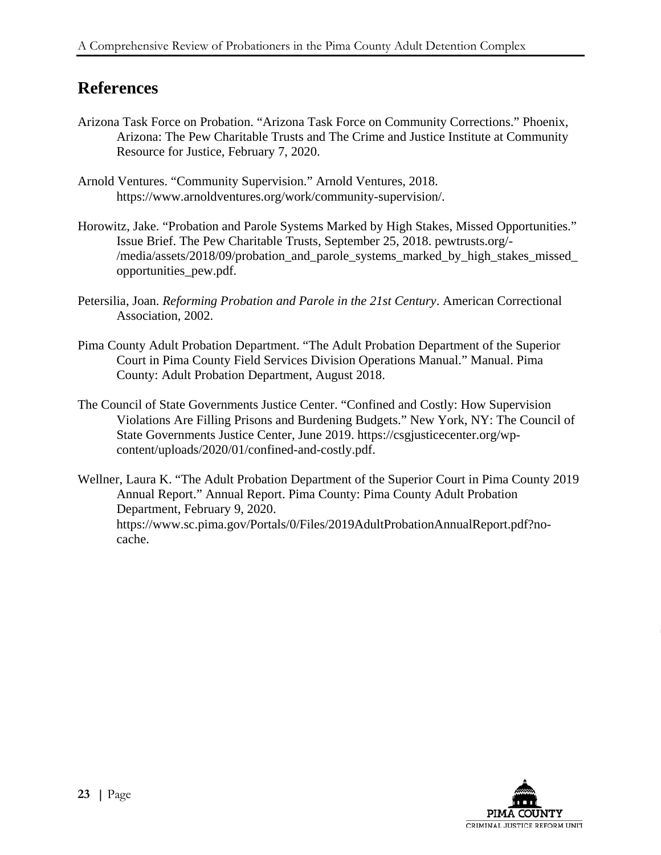# **References**

- Arizona Task Force on Probation. "Arizona Task Force on Community Corrections." Phoenix, Arizona: The Pew Charitable Trusts and The Crime and Justice Institute at Community Resource for Justice, February 7, 2020.
- Arnold Ventures. "Community Supervision." Arnold Ventures, 2018. https://www.arnoldventures.org/work/community-supervision/.
- Horowitz, Jake. "Probation and Parole Systems Marked by High Stakes, Missed Opportunities." Issue Brief. The Pew Charitable Trusts, September 25, 2018. pewtrusts.org/- /media/assets/2018/09/probation\_and\_parole\_systems\_marked\_by\_high\_stakes\_missed\_ opportunities\_pew.pdf.
- Petersilia, Joan. *Reforming Probation and Parole in the 21st Century*. American Correctional Association, 2002.
- Pima County Adult Probation Department. "The Adult Probation Department of the Superior Court in Pima County Field Services Division Operations Manual." Manual. Pima County: Adult Probation Department, August 2018.
- The Council of State Governments Justice Center. "Confined and Costly: How Supervision Violations Are Filling Prisons and Burdening Budgets." New York, NY: The Council of State Governments Justice Center, June 2019. https://csgjusticecenter.org/wpcontent/uploads/2020/01/confined-and-costly.pdf.
- Wellner, Laura K. "The Adult Probation Department of the Superior Court in Pima County 2019 Annual Report." Annual Report. Pima County: Pima County Adult Probation Department, February 9, 2020. https://www.sc.pima.gov/Portals/0/Files/2019AdultProbationAnnualReport.pdf?nocache.

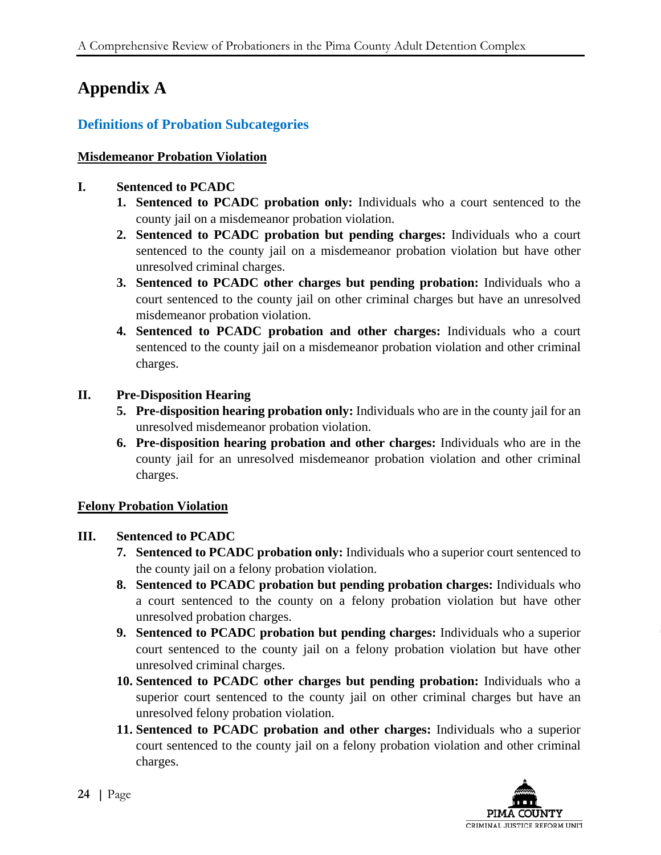# **Appendix A**

# **Definitions of Probation Subcategories**

### **Misdemeanor Probation Violation**

### **I. Sentenced to PCADC**

- **1. Sentenced to PCADC probation only:** Individuals who a court sentenced to the county jail on a misdemeanor probation violation.
- **2. Sentenced to PCADC probation but pending charges:** Individuals who a court sentenced to the county jail on a misdemeanor probation violation but have other unresolved criminal charges.
- **3. Sentenced to PCADC other charges but pending probation:** Individuals who a court sentenced to the county jail on other criminal charges but have an unresolved misdemeanor probation violation.
- **4. Sentenced to PCADC probation and other charges:** Individuals who a court sentenced to the county jail on a misdemeanor probation violation and other criminal charges.

## **II. Pre-Disposition Hearing**

- **5. Pre-disposition hearing probation only:** Individuals who are in the county jail for an unresolved misdemeanor probation violation.
- **6. Pre-disposition hearing probation and other charges:** Individuals who are in the county jail for an unresolved misdemeanor probation violation and other criminal charges.

# **Felony Probation Violation**

# **III. Sentenced to PCADC**

- **7. Sentenced to PCADC probation only:** Individuals who a superior court sentenced to the county jail on a felony probation violation.
- **8. Sentenced to PCADC probation but pending probation charges:** Individuals who a court sentenced to the county on a felony probation violation but have other unresolved probation charges.
- **9. Sentenced to PCADC probation but pending charges:** Individuals who a superior court sentenced to the county jail on a felony probation violation but have other unresolved criminal charges.
- **10. Sentenced to PCADC other charges but pending probation:** Individuals who a superior court sentenced to the county jail on other criminal charges but have an unresolved felony probation violation.
- **11. Sentenced to PCADC probation and other charges:** Individuals who a superior court sentenced to the county jail on a felony probation violation and other criminal charges.

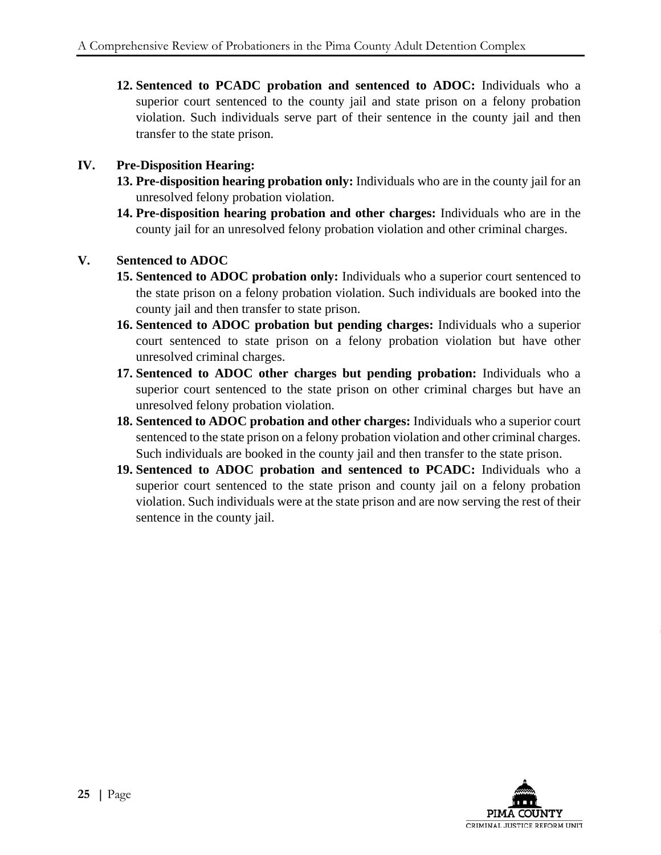**12. Sentenced to PCADC probation and sentenced to ADOC:** Individuals who a superior court sentenced to the county jail and state prison on a felony probation violation. Such individuals serve part of their sentence in the county jail and then transfer to the state prison.

### **IV. Pre-Disposition Hearing:**

- **13. Pre-disposition hearing probation only:** Individuals who are in the county jail for an unresolved felony probation violation.
- **14. Pre-disposition hearing probation and other charges:** Individuals who are in the county jail for an unresolved felony probation violation and other criminal charges.

### **V. Sentenced to ADOC**

- **15. Sentenced to ADOC probation only:** Individuals who a superior court sentenced to the state prison on a felony probation violation. Such individuals are booked into the county jail and then transfer to state prison.
- **16. Sentenced to ADOC probation but pending charges:** Individuals who a superior court sentenced to state prison on a felony probation violation but have other unresolved criminal charges.
- **17. Sentenced to ADOC other charges but pending probation:** Individuals who a superior court sentenced to the state prison on other criminal charges but have an unresolved felony probation violation.
- **18. Sentenced to ADOC probation and other charges:** Individuals who a superior court sentenced to the state prison on a felony probation violation and other criminal charges. Such individuals are booked in the county jail and then transfer to the state prison.
- **19. Sentenced to ADOC probation and sentenced to PCADC:** Individuals who a superior court sentenced to the state prison and county jail on a felony probation violation. Such individuals were at the state prison and are now serving the rest of their sentence in the county jail.

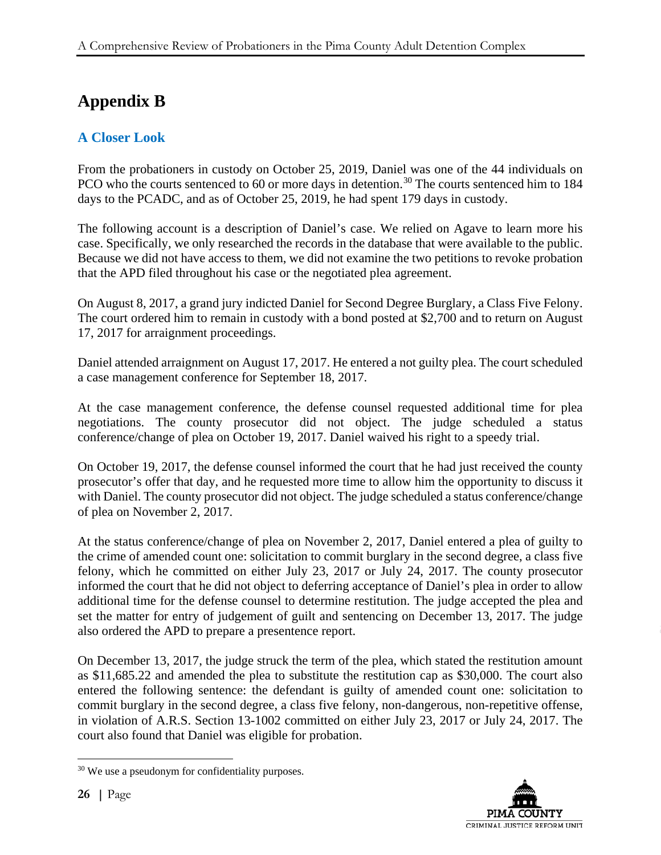# **Appendix B**

# **A Closer Look**

From the probationers in custody on October 25, 2019, Daniel was one of the 44 individuals on PCO who the courts sentenced to 60 or more days in detention.<sup>[30](#page-33-0)</sup> The courts sentenced him to 184 days to the PCADC, and as of October 25, 2019, he had spent 179 days in custody.

The following account is a description of Daniel's case. We relied on Agave to learn more his case. Specifically, we only researched the records in the database that were available to the public. Because we did not have access to them, we did not examine the two petitions to revoke probation that the APD filed throughout his case or the negotiated plea agreement.

On August 8, 2017, a grand jury indicted Daniel for Second Degree Burglary, a Class Five Felony. The court ordered him to remain in custody with a bond posted at \$2,700 and to return on August 17, 2017 for arraignment proceedings.

Daniel attended arraignment on August 17, 2017. He entered a not guilty plea. The court scheduled a case management conference for September 18, 2017.

At the case management conference, the defense counsel requested additional time for plea negotiations. The county prosecutor did not object. The judge scheduled a status conference/change of plea on October 19, 2017. Daniel waived his right to a speedy trial.

On October 19, 2017, the defense counsel informed the court that he had just received the county prosecutor's offer that day, and he requested more time to allow him the opportunity to discuss it with Daniel. The county prosecutor did not object. The judge scheduled a status conference/change of plea on November 2, 2017.

At the status conference/change of plea on November 2, 2017, Daniel entered a plea of guilty to the crime of amended count one: solicitation to commit burglary in the second degree, a class five felony, which he committed on either July 23, 2017 or July 24, 2017. The county prosecutor informed the court that he did not object to deferring acceptance of Daniel's plea in order to allow additional time for the defense counsel to determine restitution. The judge accepted the plea and set the matter for entry of judgement of guilt and sentencing on December 13, 2017. The judge also ordered the APD to prepare a presentence report.

On December 13, 2017, the judge struck the term of the plea, which stated the restitution amount as \$11,685.22 and amended the plea to substitute the restitution cap as \$30,000. The court also entered the following sentence: the defendant is guilty of amended count one: solicitation to commit burglary in the second degree, a class five felony, non-dangerous, non-repetitive offense, in violation of A.R.S. Section 13-1002 committed on either July 23, 2017 or July 24, 2017. The court also found that Daniel was eligible for probation.



<span id="page-33-0"></span> <sup>30</sup> We use a pseudonym for confidentiality purposes.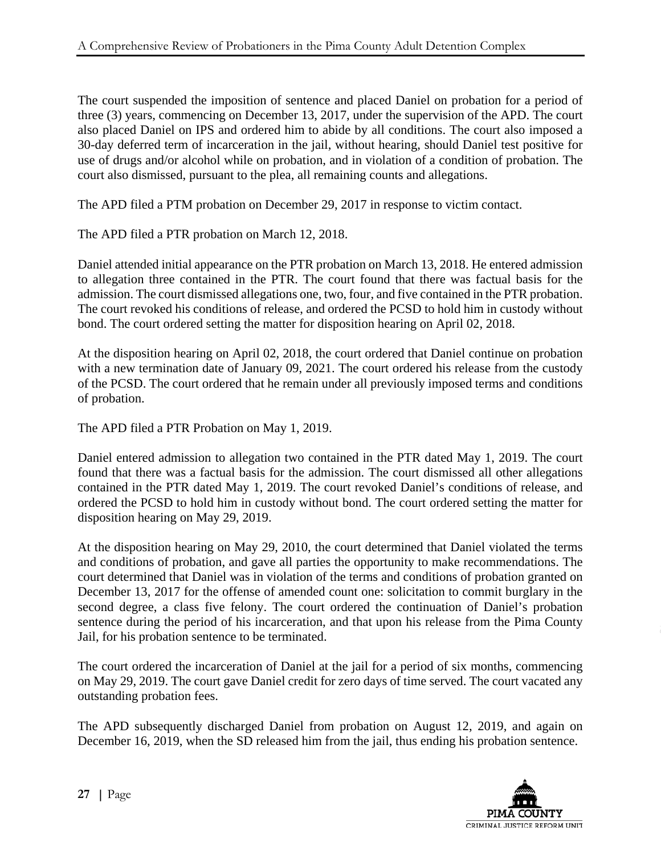The court suspended the imposition of sentence and placed Daniel on probation for a period of three (3) years, commencing on December 13, 2017, under the supervision of the APD. The court also placed Daniel on IPS and ordered him to abide by all conditions. The court also imposed a 30-day deferred term of incarceration in the jail, without hearing, should Daniel test positive for use of drugs and/or alcohol while on probation, and in violation of a condition of probation. The court also dismissed, pursuant to the plea, all remaining counts and allegations.

The APD filed a PTM probation on December 29, 2017 in response to victim contact.

The APD filed a PTR probation on March 12, 2018.

Daniel attended initial appearance on the PTR probation on March 13, 2018. He entered admission to allegation three contained in the PTR. The court found that there was factual basis for the admission. The court dismissed allegations one, two, four, and five contained in the PTR probation. The court revoked his conditions of release, and ordered the PCSD to hold him in custody without bond. The court ordered setting the matter for disposition hearing on April 02, 2018.

At the disposition hearing on April 02, 2018, the court ordered that Daniel continue on probation with a new termination date of January 09, 2021. The court ordered his release from the custody of the PCSD. The court ordered that he remain under all previously imposed terms and conditions of probation.

The APD filed a PTR Probation on May 1, 2019.

Daniel entered admission to allegation two contained in the PTR dated May 1, 2019. The court found that there was a factual basis for the admission. The court dismissed all other allegations contained in the PTR dated May 1, 2019. The court revoked Daniel's conditions of release, and ordered the PCSD to hold him in custody without bond. The court ordered setting the matter for disposition hearing on May 29, 2019.

At the disposition hearing on May 29, 2010, the court determined that Daniel violated the terms and conditions of probation, and gave all parties the opportunity to make recommendations. The court determined that Daniel was in violation of the terms and conditions of probation granted on December 13, 2017 for the offense of amended count one: solicitation to commit burglary in the second degree, a class five felony. The court ordered the continuation of Daniel's probation sentence during the period of his incarceration, and that upon his release from the Pima County Jail, for his probation sentence to be terminated.

The court ordered the incarceration of Daniel at the jail for a period of six months, commencing on May 29, 2019. The court gave Daniel credit for zero days of time served. The court vacated any outstanding probation fees.

The APD subsequently discharged Daniel from probation on August 12, 2019, and again on December 16, 2019, when the SD released him from the jail, thus ending his probation sentence.

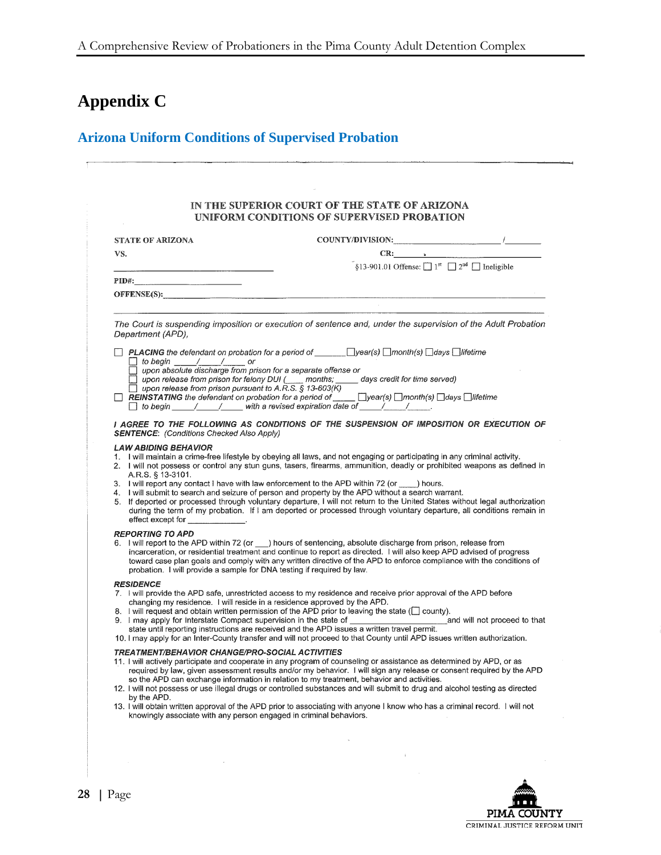# **Appendix C**

# **Arizona Uniform Conditions of Supervised Probation**

| <b>STATE OF ARIZONA</b>                                                                           |                                                                                                                                                                                                                                                                                                                                                                                                                                                                                                                                                                                         |  |
|---------------------------------------------------------------------------------------------------|-----------------------------------------------------------------------------------------------------------------------------------------------------------------------------------------------------------------------------------------------------------------------------------------------------------------------------------------------------------------------------------------------------------------------------------------------------------------------------------------------------------------------------------------------------------------------------------------|--|
| VS.                                                                                               | $CR:$ $\qquad \qquad$                                                                                                                                                                                                                                                                                                                                                                                                                                                                                                                                                                   |  |
|                                                                                                   | $\S$ 13-901.01 Offense: $1^{\text{st}}$ $2^{\text{nd}}$ $1^{\text{at}}$ Ineligible                                                                                                                                                                                                                                                                                                                                                                                                                                                                                                      |  |
| $\pmb{\text{PID}\text{\#}}: \qquad \qquad \qquad \text{---}$                                      |                                                                                                                                                                                                                                                                                                                                                                                                                                                                                                                                                                                         |  |
|                                                                                                   |                                                                                                                                                                                                                                                                                                                                                                                                                                                                                                                                                                                         |  |
|                                                                                                   |                                                                                                                                                                                                                                                                                                                                                                                                                                                                                                                                                                                         |  |
| Department (APD),                                                                                 | The Court is suspending imposition or execution of sentence and, under the supervision of the Adult Probation                                                                                                                                                                                                                                                                                                                                                                                                                                                                           |  |
| □ to begin ____/____/_____ or<br>□ upon absolute discharge from prison for a separate offense or  |                                                                                                                                                                                                                                                                                                                                                                                                                                                                                                                                                                                         |  |
|                                                                                                   | upon release from prison for felony DUI (____ months; _____ days credit for time served)                                                                                                                                                                                                                                                                                                                                                                                                                                                                                                |  |
| $\Box$ upon release from prison pursuant to A.R.S. § 13-603(K)                                    | REINSTATING the defendant on probation for a period of $\Box$ $\Box$ year(s) $\Box$ month(s) $\Box$ days $\Box$ lifetime                                                                                                                                                                                                                                                                                                                                                                                                                                                                |  |
|                                                                                                   | □ to begin / / with a revised expiration date of / / /                                                                                                                                                                                                                                                                                                                                                                                                                                                                                                                                  |  |
| <b>SENTENCE:</b> (Conditions Checked Also Apply)                                                  | I AGREE TO THE FOLLOWING AS CONDITIONS OF THE SUSPENSION OF IMPOSITION OR EXECUTION OF                                                                                                                                                                                                                                                                                                                                                                                                                                                                                                  |  |
| A.R.S. § 13-3101.<br>effect except for _____________.                                             | 2. I will not possess or control any stun guns, tasers, firearms, ammunition, deadly or prohibited weapons as defined in<br>3. I will report any contact I have with law enforcement to the APD within 72 (or ____) hours.<br>4. I will submit to search and seizure of person and property by the APD without a search warrant.<br>5. If deported or processed through voluntary departure, I will not return to the United States without legal authorization<br>during the term of my probation. If I am deported or processed through voluntary departure, all conditions remain in |  |
| <b>REPORTING TO APD</b><br>probation. I will provide a sample for DNA testing if required by law. | 6. I will report to the APD within 72 (or ___) hours of sentencing, absolute discharge from prison, release from<br>incarceration, or residential treatment and continue to report as directed. I will also keep APD advised of progress<br>toward case plan goals and comply with any written directive of the APD to enforce compliance with the conditions of                                                                                                                                                                                                                        |  |
| <b>RESIDENCE</b><br>changing my residence. I will reside in a residence approved by the APD.      | 7. I will provide the APD safe, unrestricted access to my residence and receive prior approval of the APD before                                                                                                                                                                                                                                                                                                                                                                                                                                                                        |  |
|                                                                                                   | 8. I will request and obtain written permission of the APD prior to leaving the state (C county).                                                                                                                                                                                                                                                                                                                                                                                                                                                                                       |  |
|                                                                                                   | 10. I may apply for an Inter-County transfer and will not proceed to that County until APD issues written authorization.                                                                                                                                                                                                                                                                                                                                                                                                                                                                |  |
| <b>TREATMENT/BEHAVIOR CHANGE/PRO-SOCIAL ACTIVITIES</b>                                            | 11. I will actively participate and cooperate in any program of counseling or assistance as determined by APD, or as<br>required by law, given assessment results and/or my behavior. I will sign any release or consent required by the APD<br>so the APD can exchange information in relation to my treatment, behavior and activities.<br>12. I will not possess or use illegal drugs or controlled substances and will submit to drug and alcohol testing as directed                                                                                                               |  |
| by the APD.                                                                                       | 13. I will obtain written approval of the APD prior to associating with anyone I know who has a criminal record. I will not<br>knowingly associate with any person engaged in criminal behaviors.                                                                                                                                                                                                                                                                                                                                                                                       |  |

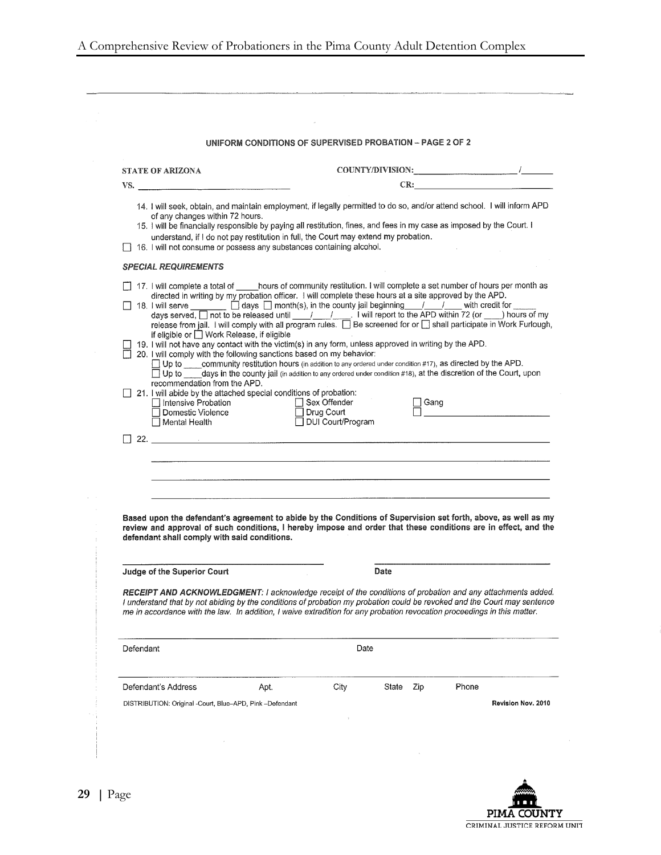|                                                                                                                                                                                                                                                                                                                                                                                                                                                                                                                                                                                                                                                                                                                                                                                                                                                                                                                                                                                                                                                                                                                                                                                                                                                                                                                                                                                                 | UNIFORM CONDITIONS OF SUPERVISED PROBATION - PAGE 2 OF 2 |                                                       |       |      |       |     |
|-------------------------------------------------------------------------------------------------------------------------------------------------------------------------------------------------------------------------------------------------------------------------------------------------------------------------------------------------------------------------------------------------------------------------------------------------------------------------------------------------------------------------------------------------------------------------------------------------------------------------------------------------------------------------------------------------------------------------------------------------------------------------------------------------------------------------------------------------------------------------------------------------------------------------------------------------------------------------------------------------------------------------------------------------------------------------------------------------------------------------------------------------------------------------------------------------------------------------------------------------------------------------------------------------------------------------------------------------------------------------------------------------|----------------------------------------------------------|-------------------------------------------------------|-------|------|-------|-----|
| <b>STATE OF ARIZONA</b>                                                                                                                                                                                                                                                                                                                                                                                                                                                                                                                                                                                                                                                                                                                                                                                                                                                                                                                                                                                                                                                                                                                                                                                                                                                                                                                                                                         |                                                          |                                                       |       |      |       |     |
| VS.                                                                                                                                                                                                                                                                                                                                                                                                                                                                                                                                                                                                                                                                                                                                                                                                                                                                                                                                                                                                                                                                                                                                                                                                                                                                                                                                                                                             |                                                          |                                                       |       |      |       | CR: |
| 14. I will seek, obtain, and maintain employment, if legally permitted to do so, and/or attend school. I will inform APD<br>of any changes within 72 hours.<br>15. I will be financially responsible by paying all restitution, fines, and fees in my case as imposed by the Court. I<br>understand, if I do not pay restitution in full, the Court may extend my probation.<br>16. I will not consume or possess any substances containing alcohol.                                                                                                                                                                                                                                                                                                                                                                                                                                                                                                                                                                                                                                                                                                                                                                                                                                                                                                                                            |                                                          |                                                       |       |      |       |     |
| <b>SPECIAL REQUIREMENTS</b>                                                                                                                                                                                                                                                                                                                                                                                                                                                                                                                                                                                                                                                                                                                                                                                                                                                                                                                                                                                                                                                                                                                                                                                                                                                                                                                                                                     |                                                          |                                                       |       |      |       |     |
| 17. I will complete a total of _____hours of community restitution. I will complete a set number of hours per month as<br>directed in writing by my probation officer. I will complete these hours at a site approved by the APD.<br>18. I will serve _______ [ days [ ] month(s), in the county jail beginning ____/ ____/ ___ with credit for ___<br>days served, $\boxed{\phantom{a}}$ not to be released until $\frac{1}{\sqrt{1-\frac{1}{1-\frac{1}{1-\frac{1}{1-\frac{1}{1-\frac{1}{1-\frac{1}{1-\frac{1}{1-\frac{1}{1-\frac{1}{1-\frac{1}{1-\frac{1}{1-\frac{1}{1-\frac{1}{1-\frac{1}{1-\frac{1}{1-\frac{1}{1-\frac{1}{1-\frac{1}{1-\frac{1}{1-\frac{1}{1-\frac{1}{1-\frac{1}{1-\frac{1}{1-\frac{1}{1-\frac{1}{1-\frac{1}{1-\frac{1}{1$<br>if eligible or □ Work Release, if eligible<br>19. I will not have any contact with the victim(s) in any form, unless approved in writing by the APD.<br>20. I will comply with the following sanctions based on my behavior:<br>□ Up to community restitution hours (in addition to any ordered under condition #17), as directed by the APD.<br>Up to days in the county jail (in addition to any ordered under condition #18), at the discretion of the Court, upon<br>recommendation from the APD.<br>21. I will abide by the attached special conditions of probation:<br>□ Intensive Probation<br>□ Domestic Violence<br>□ Mental Health |                                                          | □ Sex Offender<br>□ Drug Court<br>□ DUI Court/Program |       | Gang |       |     |
| Based upon the defendant's agreement to abide by the Conditions of Supervision set forth, above, as well as my<br>review and approval of such conditions, I hereby impose and order that these conditions are in effect, and the<br>defendant shall comply with said conditions.                                                                                                                                                                                                                                                                                                                                                                                                                                                                                                                                                                                                                                                                                                                                                                                                                                                                                                                                                                                                                                                                                                                |                                                          |                                                       |       |      |       |     |
| Judge of the Superior Court                                                                                                                                                                                                                                                                                                                                                                                                                                                                                                                                                                                                                                                                                                                                                                                                                                                                                                                                                                                                                                                                                                                                                                                                                                                                                                                                                                     |                                                          |                                                       | Date  |      |       |     |
| RECEIPT AND ACKNOWLEDGMENT: I acknowledge receipt of the conditions of probation and any attachments added.<br>I understand that by not abiding by the conditions of probation my probation could be revoked and the Court may sentence<br>me in accordance with the law. In addition, I waive extradition for any probation revocation proceedings in this matter.<br>Defendant                                                                                                                                                                                                                                                                                                                                                                                                                                                                                                                                                                                                                                                                                                                                                                                                                                                                                                                                                                                                                |                                                          | Date                                                  |       |      |       |     |
|                                                                                                                                                                                                                                                                                                                                                                                                                                                                                                                                                                                                                                                                                                                                                                                                                                                                                                                                                                                                                                                                                                                                                                                                                                                                                                                                                                                                 |                                                          |                                                       |       | Zip  | Phone |     |
| Defendant's Address                                                                                                                                                                                                                                                                                                                                                                                                                                                                                                                                                                                                                                                                                                                                                                                                                                                                                                                                                                                                                                                                                                                                                                                                                                                                                                                                                                             | Apt.                                                     | City                                                  | State |      |       |     |